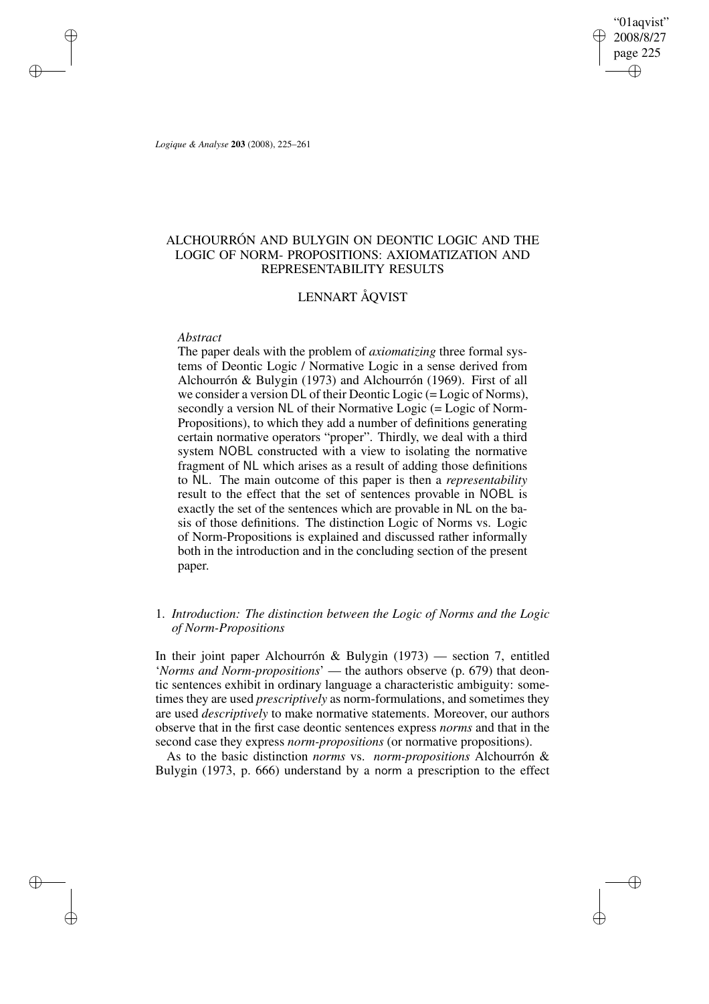"01aqvist" 2008/8/27 page 225 ✐ ✐

✐

✐

*Logique & Analyse* **203** (2008), 225–261

✐

✐

✐

✐

# ALCHOURRÓN AND BULYGIN ON DEONTIC LOGIC AND THE LOGIC OF NORM- PROPOSITIONS: AXIOMATIZATION AND REPRESENTABILITY RESULTS

# LENNART ÅQVIST

# *Abstract*

The paper deals with the problem of *axiomatizing* three formal systems of Deontic Logic / Normative Logic in a sense derived from Alchourrón & Bulygin (1973) and Alchourrón (1969). First of all we consider a version DL of their Deontic Logic (= Logic of Norms), secondly a version NL of their Normative Logic (= Logic of Norm-Propositions), to which they add a number of definitions generating certain normative operators "proper". Thirdly, we deal with a third system NOBL constructed with a view to isolating the normative fragment of NL which arises as a result of adding those definitions to NL. The main outcome of this paper is then a *representability* result to the effect that the set of sentences provable in NOBL is exactly the set of the sentences which are provable in NL on the basis of those definitions. The distinction Logic of Norms vs. Logic of Norm-Propositions is explained and discussed rather informally both in the introduction and in the concluding section of the present paper.

# 1. *Introduction: The distinction between the Logic of Norms and the Logic of Norm-Propositions*

In their joint paper Alchourrón & Bulygin (1973) — section 7, entitled '*Norms and Norm-propositions*' — the authors observe (p. 679) that deontic sentences exhibit in ordinary language a characteristic ambiguity: sometimes they are used *prescriptively* as norm-formulations, and sometimes they are used *descriptively* to make normative statements. Moreover, our authors observe that in the first case deontic sentences express *norms* and that in the second case they express *norm-propositions* (or normative propositions).

As to the basic distinction *norms* vs. *norm-propositions* Alchourrón & Bulygin (1973, p. 666) understand by a norm a prescription to the effect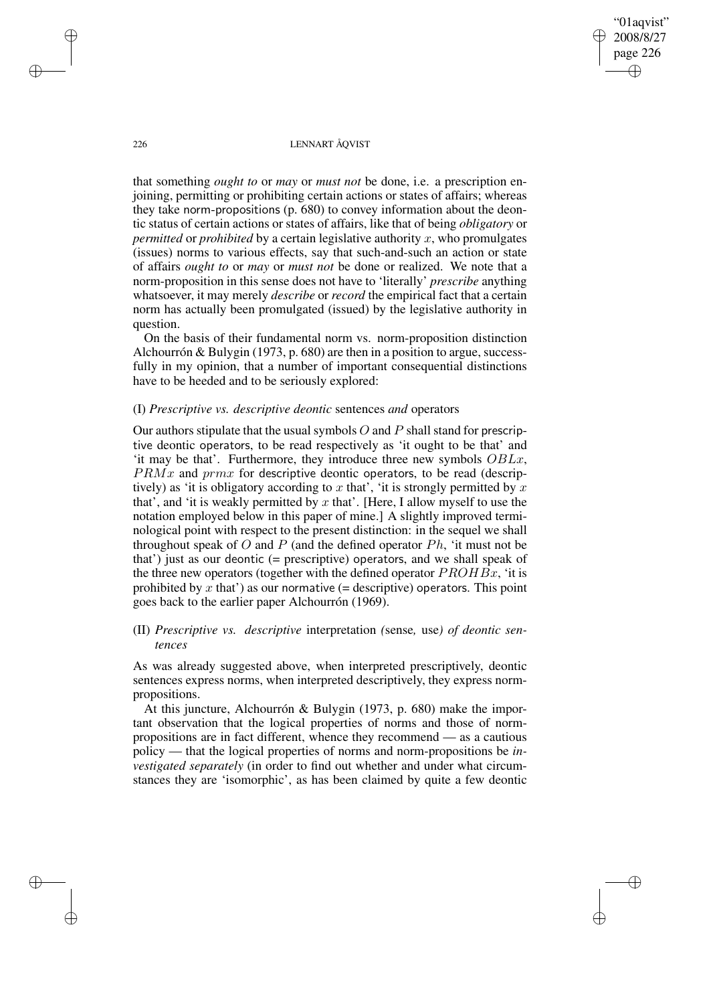"01aqvist" 2008/8/27 page 226 ✐ ✐

✐

✐

### 226 LENNART ÅQVIST

that something *ought to* or *may* or *must not* be done, i.e. a prescription enjoining, permitting or prohibiting certain actions or states of affairs; whereas they take norm-propositions (p. 680) to convey information about the deontic status of certain actions or states of affairs, like that of being *obligatory* or *permitted* or *prohibited* by a certain legislative authority x, who promulgates (issues) norms to various effects, say that such-and-such an action or state of affairs *ought to* or *may* or *must not* be done or realized. We note that a norm-proposition in this sense does not have to 'literally' *prescribe* anything whatsoever, it may merely *describe* or *record* the empirical fact that a certain norm has actually been promulgated (issued) by the legislative authority in question.

On the basis of their fundamental norm vs. norm-proposition distinction Alchourrón & Bulygin (1973, p. 680) are then in a position to argue, successfully in my opinion, that a number of important consequential distinctions have to be heeded and to be seriously explored:

# (I) *Prescriptive vs. descriptive deontic* sentences *and* operators

Our authors stipulate that the usual symbols  $O$  and  $P$  shall stand for prescriptive deontic operators, to be read respectively as 'it ought to be that' and 'it may be that'. Furthermore, they introduce three new symbols OBLx,  $PRMx$  and  $prmx$  for descriptive deontic operators, to be read (descriptively) as 'it is obligatory according to x that', 'it is strongly permitted by  $x$ that', and 'it is weakly permitted by  $x$  that'. [Here, I allow myself to use the notation employed below in this paper of mine.] A slightly improved terminological point with respect to the present distinction: in the sequel we shall throughout speak of O and P (and the defined operator  $Ph$ , 'it must not be that') just as our deontic (= prescriptive) operators, and we shall speak of the three new operators (together with the defined operator  $PROHBx$ , 'it is prohibited by  $x$  that') as our normative (= descriptive) operators. This point goes back to the earlier paper Alchourrón (1969).

# (II) *Prescriptive vs. descriptive* interpretation *(*sense*,* use*) of deontic sentences*

As was already suggested above, when interpreted prescriptively, deontic sentences express norms, when interpreted descriptively, they express normpropositions.

At this juncture, Alchourrón & Bulygin (1973, p. 680) make the important observation that the logical properties of norms and those of normpropositions are in fact different, whence they recommend — as a cautious policy — that the logical properties of norms and norm-propositions be *investigated separately* (in order to find out whether and under what circumstances they are 'isomorphic', as has been claimed by quite a few deontic

✐

✐

✐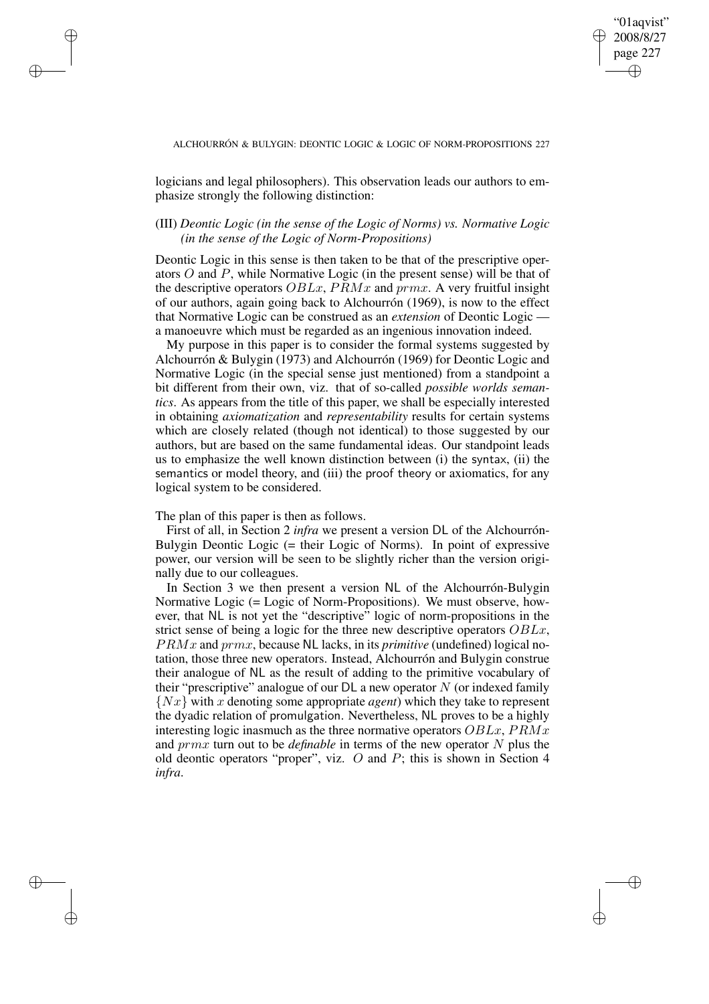✐

#### ALCHOURRÓN & BULYGIN: DEONTIC LOGIC & LOGIC OF NORM-PROPOSITIONS 227

logicians and legal philosophers). This observation leads our authors to emphasize strongly the following distinction:

# (III) *Deontic Logic (in the sense of the Logic of Norms) vs. Normative Logic (in the sense of the Logic of Norm-Propositions)*

Deontic Logic in this sense is then taken to be that of the prescriptive operators O and P, while Normative Logic (in the present sense) will be that of the descriptive operators  $OBLx$ ,  $PRMx$  and  $prmx$ . A very fruitful insight of our authors, again going back to Alchourrón (1969), is now to the effect that Normative Logic can be construed as an *extension* of Deontic Logic a manoeuvre which must be regarded as an ingenious innovation indeed.

My purpose in this paper is to consider the formal systems suggested by Alchourrón & Bulygin (1973) and Alchourrón (1969) for Deontic Logic and Normative Logic (in the special sense just mentioned) from a standpoint a bit different from their own, viz. that of so-called *possible worlds semantics*. As appears from the title of this paper, we shall be especially interested in obtaining *axiomatization* and *representability* results for certain systems which are closely related (though not identical) to those suggested by our authors, but are based on the same fundamental ideas. Our standpoint leads us to emphasize the well known distinction between (i) the syntax, (ii) the semantics or model theory, and (iii) the proof theory or axiomatics, for any logical system to be considered.

The plan of this paper is then as follows.

✐

✐

✐

✐

First of all, in Section 2 *infra* we present a version DL of the Alchourrón-Bulygin Deontic Logic (= their Logic of Norms). In point of expressive power, our version will be seen to be slightly richer than the version originally due to our colleagues.

In Section 3 we then present a version NL of the Alchourrón-Bulygin Normative Logic (= Logic of Norm-Propositions). We must observe, however, that NL is not yet the "descriptive" logic of norm-propositions in the strict sense of being a logic for the three new descriptive operators OBLx, PRMx and prmx, because NL lacks, in its *primitive* (undefined) logical notation, those three new operators. Instead, Alchourrón and Bulygin construe their analogue of NL as the result of adding to the primitive vocabulary of their "prescriptive" analogue of our  $DL$  a new operator  $N$  (or indexed family {Nx} with x denoting some appropriate *agent*) which they take to represent the dyadic relation of promulgation. Nevertheless, NL proves to be a highly interesting logic inasmuch as the three normative operators  $OBLx$ ,  $PRMx$ and prmx turn out to be *definable* in terms of the new operator N plus the old deontic operators "proper", viz. O and P; this is shown in Section 4 *infra*.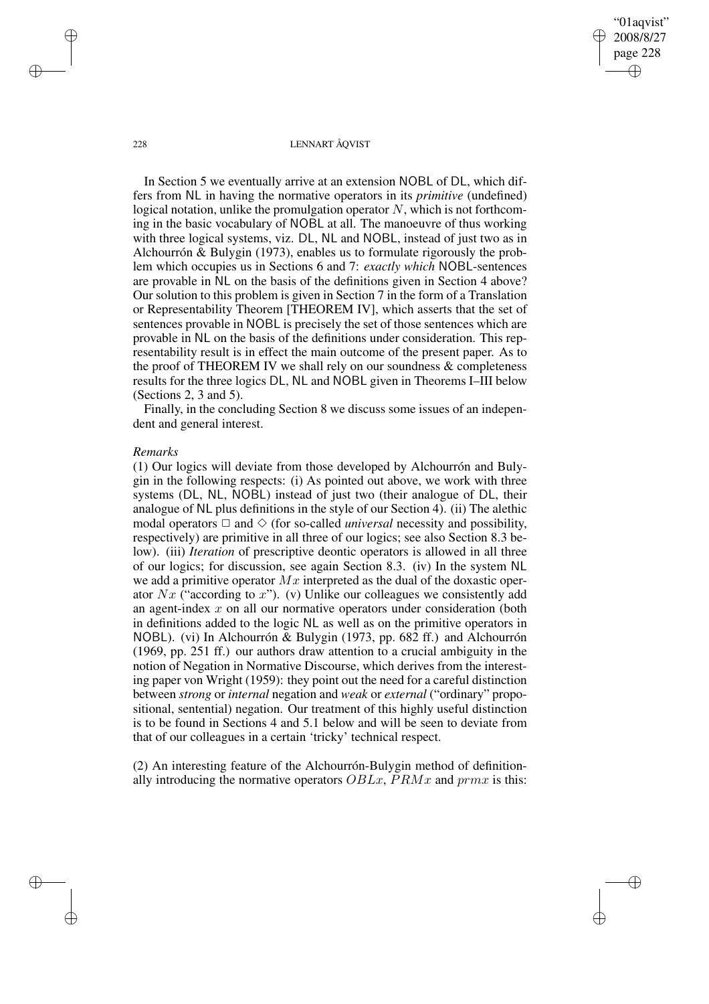"01aqvist" 2008/8/27 page 228 ✐ ✐

✐

✐

#### 228 LENNART ÅQVIST

In Section 5 we eventually arrive at an extension NOBL of DL, which differs from NL in having the normative operators in its *primitive* (undefined) logical notation, unlike the promulgation operator  $N$ , which is not forthcoming in the basic vocabulary of NOBL at all. The manoeuvre of thus working with three logical systems, viz. DL, NL and NOBL, instead of just two as in Alchourrón & Bulygin (1973), enables us to formulate rigorously the problem which occupies us in Sections 6 and 7: *exactly which* NOBL-sentences are provable in NL on the basis of the definitions given in Section 4 above? Our solution to this problem is given in Section 7 in the form of a Translation or Representability Theorem [THEOREM IV], which asserts that the set of sentences provable in NOBL is precisely the set of those sentences which are provable in NL on the basis of the definitions under consideration. This representability result is in effect the main outcome of the present paper. As to the proof of THEOREM IV we shall rely on our soundness  $\&$  completeness results for the three logics DL, NL and NOBL given in Theorems I–III below (Sections 2, 3 and 5).

Finally, in the concluding Section 8 we discuss some issues of an independent and general interest.

### *Remarks*

(1) Our logics will deviate from those developed by Alchourrón and Bulygin in the following respects: (i) As pointed out above, we work with three systems (DL, NL, NOBL) instead of just two (their analogue of DL, their analogue of NL plus definitions in the style of our Section 4). (ii) The alethic modal operators  $\Box$  and  $\diamond$  (for so-called *universal* necessity and possibility, respectively) are primitive in all three of our logics; see also Section 8.3 below). (iii) *Iteration* of prescriptive deontic operators is allowed in all three of our logics; for discussion, see again Section 8.3. (iv) In the system NL we add a primitive operator  $Mx$  interpreted as the dual of the doxastic operator  $Nx$  ("according to x"). (v) Unlike our colleagues we consistently add an agent-index x on all our normative operators under consideration (both in definitions added to the logic NL as well as on the primitive operators in NOBL). (vi) In Alchourrón & Bulygin (1973, pp. 682 ff.) and Alchourrón (1969, pp. 251 ff.) our authors draw attention to a crucial ambiguity in the notion of Negation in Normative Discourse, which derives from the interesting paper von Wright (1959): they point out the need for a careful distinction between *strong* or *internal* negation and *weak* or *external* ("ordinary" propositional, sentential) negation. Our treatment of this highly useful distinction is to be found in Sections 4 and 5.1 below and will be seen to deviate from that of our colleagues in a certain 'tricky' technical respect.

(2) An interesting feature of the Alchourrón-Bulygin method of definitionally introducing the normative operators  $OBLx$ ,  $PRMx$  and  $prmx$  is this:

✐

✐

✐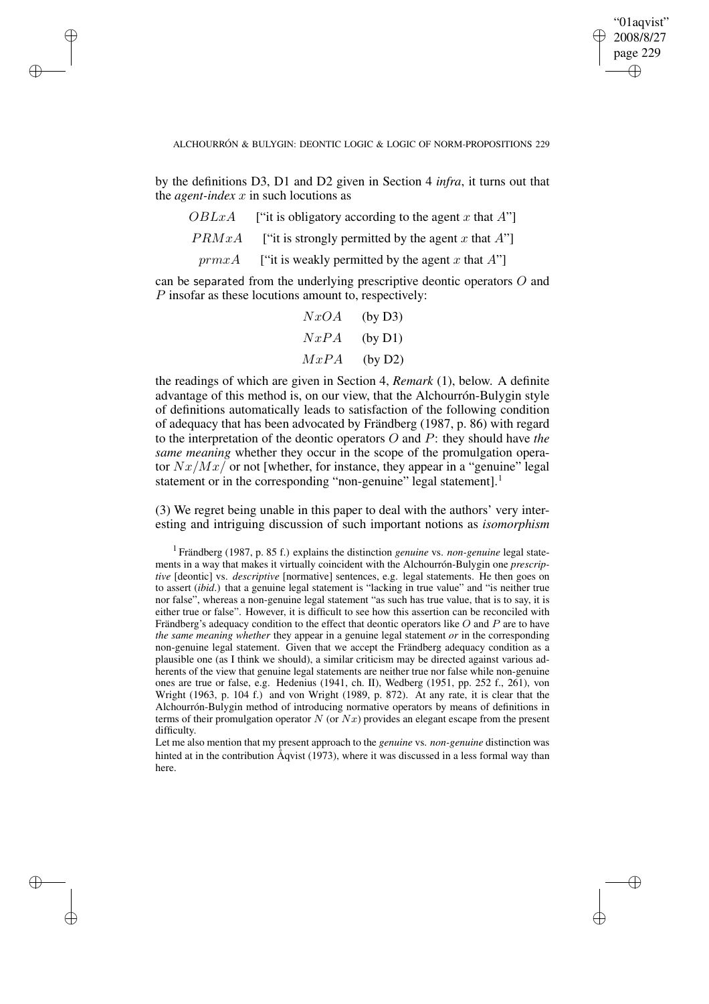✐

#### ALCHOURRÓN & BULYGIN: DEONTIC LOGIC & LOGIC OF NORM-PROPOSITIONS 229

by the definitions D3, D1 and D2 given in Section 4 *infra*, it turns out that the *agent-index*  $x$  in such locutions as

✐

✐

✐

✐

- $OBLxA$  ["it is obligatory according to the agent x that A"]
- *PRMxA* ["it is strongly permitted by the agent x that A"]
- $prmxA$  ["it is weakly permitted by the agent x that A"]

can be separated from the underlying prescriptive deontic operators O and P insofar as these locutions amount to, respectively:

$$
NxOA
$$
 (by D3)  

$$
NxPA
$$
 (by D1)  

$$
MxPA
$$
 (by D2)

the readings of which are given in Section 4, *Remark* (1), below. A definite advantage of this method is, on our view, that the Alchourrón-Bulygin style of definitions automatically leads to satisfaction of the following condition of adequacy that has been advocated by Frändberg (1987, p. 86) with regard to the interpretation of the deontic operators O and P: they should have *the same meaning* whether they occur in the scope of the promulgation operator  $Nx/Mx$  or not [whether, for instance, they appear in a "genuine" legal statement or in the corresponding "non-genuine" legal statement].<sup>1</sup>

(3) We regret being unable in this paper to deal with the authors' very interesting and intriguing discussion of such important notions as *isomorphism*

Let me also mention that my present approach to the *genuine* vs. *non-genuine* distinction was hinted at in the contribution Åqvist (1973), where it was discussed in a less formal way than here.

<sup>1</sup> Frändberg (1987, p. 85 f.) explains the distinction *genuine* vs. *non-genuine* legal statements in a way that makes it virtually coincident with the Alchourrón-Bulygin one *prescriptive* [deontic] vs. *descriptive* [normative] sentences, e.g. legal statements. He then goes on to assert (*ibid*.) that a genuine legal statement is "lacking in true value" and "is neither true nor false", whereas a non-genuine legal statement "as such has true value, that is to say, it is either true or false". However, it is difficult to see how this assertion can be reconciled with Frändberg's adequacy condition to the effect that deontic operators like O and P are to have *the same meaning whether* they appear in a genuine legal statement *or* in the corresponding non-genuine legal statement. Given that we accept the Frändberg adequacy condition as a plausible one (as I think we should), a similar criticism may be directed against various adherents of the view that genuine legal statements are neither true nor false while non-genuine ones are true or false, e.g. Hedenius (1941, ch. II), Wedberg (1951, pp. 252 f., 261), von Wright (1963, p. 104 f.) and von Wright (1989, p. 872). At any rate, it is clear that the Alchourrón-Bulygin method of introducing normative operators by means of definitions in terms of their promulgation operator  $N$  (or  $Nx$ ) provides an elegant escape from the present difficulty.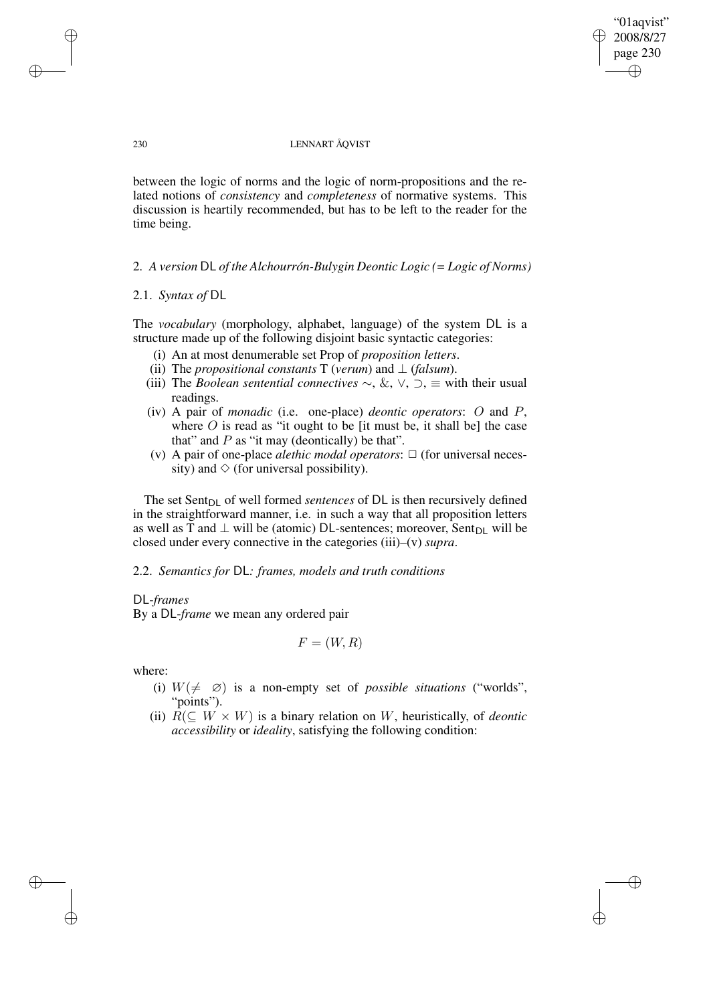"01aqvist" 2008/8/27 page 230 ✐ ✐

✐

✐

### 230 LENNART ÅQVIST

between the logic of norms and the logic of norm-propositions and the related notions of *consistency* and *completeness* of normative systems. This discussion is heartily recommended, but has to be left to the reader for the time being.

2. *A version* DL *of the Alchourrón-Bulygin Deontic Logic (= Logic of Norms)*

# 2.1. *Syntax of* DL

The *vocabulary* (morphology, alphabet, language) of the system DL is a structure made up of the following disjoint basic syntactic categories:

- (i) An at most denumerable set Prop of *proposition letters*.
- (ii) The *propositional constants* T (*verum*) and  $\perp$  (*falsum*).
- (iii) The *Boolean sentential connectives*  $\sim$ , &,  $\vee$ ,  $\supset$ ,  $\equiv$  with their usual readings.
- (iv) A pair of *monadic* (i.e. one-place) *deontic operators*: O and P, where  $O$  is read as "it ought to be [it must be, it shall be] the case that" and  $P$  as "it may (deontically) be that".
- (v) A pair of one-place *alethic modal operators*:  $\Box$  (for universal necessity) and  $\diamond$  (for universal possibility).

The set Sent<sub>DL</sub> of well formed *sentences* of DL is then recursively defined in the straightforward manner, i.e. in such a way that all proposition letters as well as T and  $\perp$  will be (atomic) DL-sentences; moreover, Sent<sub>DL</sub> will be closed under every connective in the categories (iii)–(v) *supra*.

2.2. *Semantics for* DL*: frames, models and truth conditions*

# DL-*frames*

By a DL-*frame* we mean any ordered pair

$$
F = (W, R)
$$

where:

✐

✐

- (i)  $W(\neq \emptyset)$  is a non-empty set of *possible situations* ("worlds", "points").
- (ii)  $R(\subseteq W \times W)$  is a binary relation on W, heuristically, of *deontic accessibility* or *ideality*, satisfying the following condition:

✐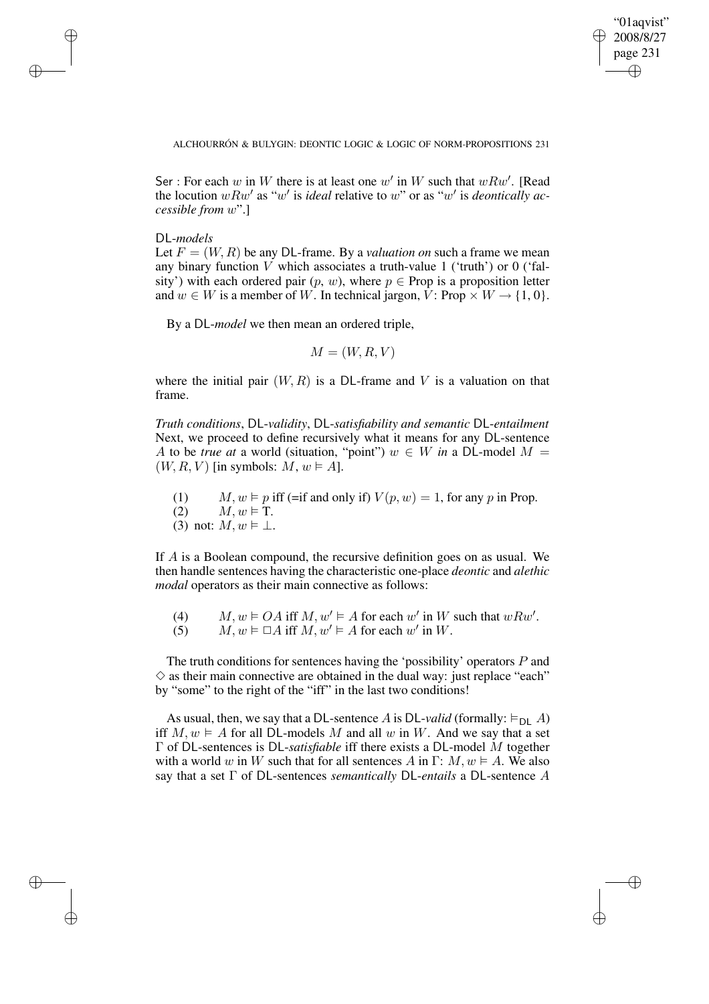✐

ALCHOURRÓN & BULYGIN: DEONTIC LOGIC & LOGIC OF NORM-PROPOSITIONS 231

Ser : For each w in W there is at least one w' in W such that  $wRw'$ . [Read the locution  $wRw'$  as "w' is *ideal* relative to w" or as "w' is *deontically accessible from* w".]

DL-*models*

✐

✐

✐

✐

Let  $F = (W, R)$  be any DL-frame. By a *valuation on* such a frame we mean any binary function  $V$  which associates a truth-value 1 ('truth') or 0 ('falsity') with each ordered pair  $(p, w)$ , where  $p \in$  Prop is a proposition letter and  $w \in W$  is a member of W. In technical jargon, V: Prop  $\times W \rightarrow \{1, 0\}$ .

By a DL-*model* we then mean an ordered triple,

$$
M = (W, R, V)
$$

where the initial pair  $(W, R)$  is a DL-frame and V is a valuation on that frame.

*Truth conditions*, DL-*validity*, DL-*satisfiability and semantic* DL-*entailment* Next, we proceed to define recursively what it means for any DL-sentence A to be *true* at a world (situation, "point")  $w \in W$  *in* a DL-model  $M =$  $(W, R, V)$  [in symbols:  $M, w \models A$ ].

(1)  $M, w \models p$  iff (=if and only if)  $V(p, w) = 1$ , for any p in Prop. (2)  $M, w \models T$ . (3) not:  $M, w \models \bot$ .

If A is a Boolean compound, the recursive definition goes on as usual. We then handle sentences having the characteristic one-place *deontic* and *alethic modal* operators as their main connective as follows:

(4)  $M, w \models OA$  iff  $M, w' \models A$  for each w' in W such that  $wRw'$ .

(5)  $M, w \models \Box A$  iff  $M, w' \models A$  for each w' in W.

The truth conditions for sentences having the 'possibility' operators P and  $\diamond$  as their main connective are obtained in the dual way: just replace "each" by "some" to the right of the "iff" in the last two conditions!

As usual, then, we say that a DL-sentence A is DL-valid (formally:  $\models_{\text{DI}}$  A) iff  $M, w \models A$  for all DL-models M and all w in W. And we say that a set Γ of DL-sentences is DL-*satisfiable* iff there exists a DL-model M together with a world w in W such that for all sentences A in  $\Gamma: M, w \models A$ . We also say that a set Γ of DL-sentences *semantically* DL-*entails* a DL-sentence A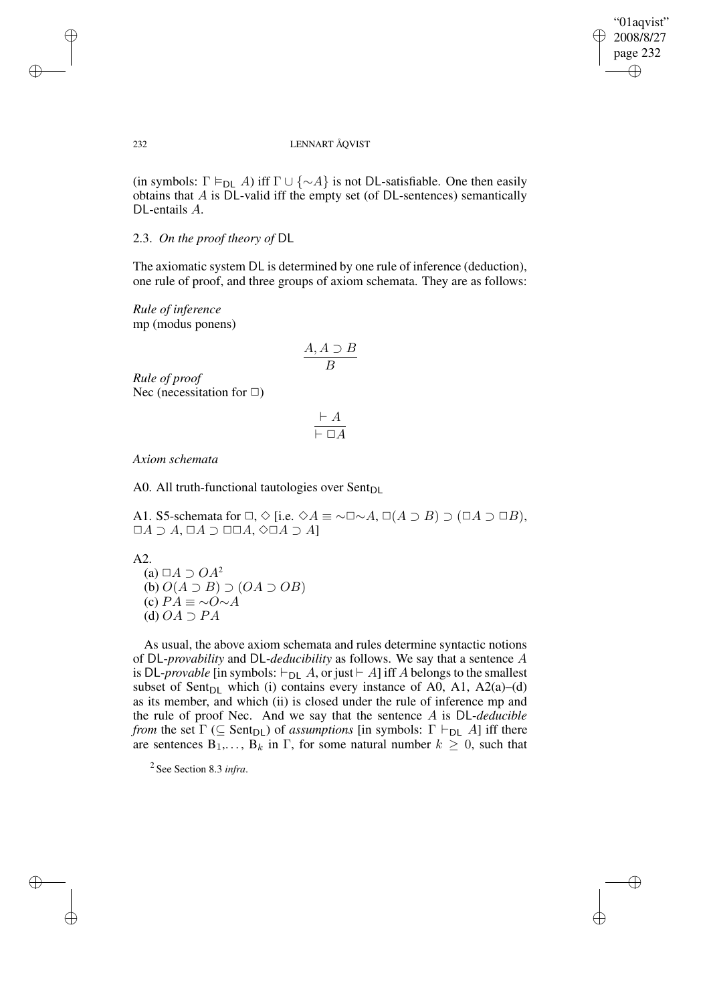✐

### 232 LENNART ÅQVIST

(in symbols:  $\Gamma \models_{\textsf{DL}} A$ ) iff  $\Gamma \cup \{\sim A\}$  is not DL-satisfiable. One then easily obtains that  $A$  is DL-valid iff the empty set (of DL-sentences) semantically DL-entails A.

# 2.3. *On the proof theory of* DL

The axiomatic system DL is determined by one rule of inference (deduction), one rule of proof, and three groups of axiom schemata. They are as follows:

*Rule of inference* mp (modus ponens)

$$
\frac{A, A \supset B}{B}
$$

*Rule of proof* Nec (necessitation for  $\Box$ )

$$
\frac{\vdash A}{\vdash \Box A}
$$

*Axiom schemata*

A0. All truth-functional tautologies over  $Sent_{DL}$ 

A1. S5-schemata for  $\Box, \Diamond$  [i.e.  $\Diamond A \equiv \neg \Box \neg A, \Box(A \supset B) \supset (\Box A \supset \Box B),$  $\Box A \supset A$ ,  $\Box A \supset \Box \Box A$ ,  $\Diamond \Box A \supset A$ ]

A2.

(a)  $\Box A \supset OA^2$ (b)  $O(A \supset B) \supset (OA \supset OB)$ (c)  $PA \equiv \sim O \sim A$ (d)  $OA \supset PA$ 

As usual, the above axiom schemata and rules determine syntactic notions of DL-*provability* and DL-*deducibility* as follows. We say that a sentence A is DL-*provable* [in symbols:  $\vdash_{\text{DL}} A$ , or just  $\vdash A$ ] iff A belongs to the smallest subset of Sent<sub>DL</sub> which (i) contains every instance of A0, A1, A2(a)–(d) as its member, and which (ii) is closed under the rule of inference mp and the rule of proof Nec. And we say that the sentence A is DL-*deducible from* the set  $\Gamma$  ( $\subseteq$  Sent<sub>DL</sub>) of *assumptions* [in symbols:  $\Gamma \vdash_{DL} A$ ] iff there are sentences  $B_1, \ldots, B_k$  in  $\Gamma$ , for some natural number  $k \geq 0$ , such that

2 See Section 8.3 *infra*.

✐

✐

✐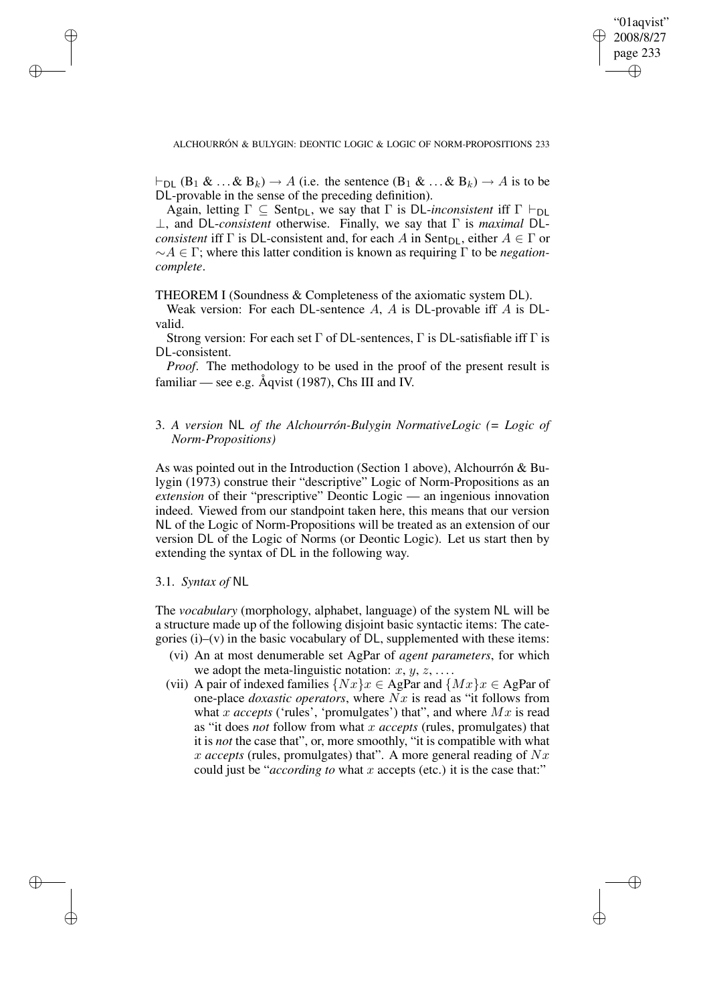✐

ALCHOURRÓN & BULYGIN: DEONTIC LOGIC & LOGIC OF NORM-PROPOSITIONS 233

 $\vdash_{\textsf{DL}} (\textsf{B}_1 \& \dots \& \textsf{B}_k) \rightarrow A$  (i.e. the sentence  $(\textsf{B}_1 \& \dots \& \textsf{B}_k) \rightarrow A$  is to be DL-provable in the sense of the preceding definition).

Again, letting  $\Gamma \subseteq$  Sent<sub>DL</sub>, we say that  $\Gamma$  is DL-*inconsistent* iff  $\Gamma \vdash_{DL}$ ⊥, and DL-*consistent* otherwise. Finally, we say that Γ is *maximal* DL*consistent* iff  $\Gamma$  is DL-consistent and, for each A in Sent<sub>DL</sub>, either  $A \in \Gamma$  or ∼A ∈ Γ; where this latter condition is known as requiring Γ to be *negationcomplete*.

THEOREM I (Soundness & Completeness of the axiomatic system DL).

Weak version: For each DL-sentence  $A$ ,  $A$  is DL-provable iff  $A$  is DLvalid.

Strong version: For each set  $\Gamma$  of DL-sentences,  $\Gamma$  is DL-satisfiable iff  $\Gamma$  is DL-consistent.

*Proof.* The methodology to be used in the proof of the present result is familiar — see e.g. Åqvist (1987), Chs III and IV.

# 3. *A version* NL *of the Alchourrón-Bulygin NormativeLogic (= Logic of Norm-Propositions)*

As was pointed out in the Introduction (Section 1 above), Alchourrón & Bulygin (1973) construe their "descriptive" Logic of Norm-Propositions as an *extension* of their "prescriptive" Deontic Logic — an ingenious innovation indeed. Viewed from our standpoint taken here, this means that our version NL of the Logic of Norm-Propositions will be treated as an extension of our version DL of the Logic of Norms (or Deontic Logic). Let us start then by extending the syntax of DL in the following way.

3.1. *Syntax of* NL

✐

✐

✐

✐

The *vocabulary* (morphology, alphabet, language) of the system NL will be a structure made up of the following disjoint basic syntactic items: The categories  $(i)$ – $(v)$  in the basic vocabulary of DL, supplemented with these items:

- (vi) An at most denumerable set AgPar of *agent parameters*, for which we adopt the meta-linguistic notation:  $x, y, z, \ldots$ .
- (vii) A pair of indexed families  $\{Nx\}x \in \text{AgPar}$  and  $\{Mx\}x \in \text{AgPar}$  of one-place *doxastic operators*, where Nx is read as "it follows from what x *accepts* ('rules', 'promulgates') that", and where  $Mx$  is read as "it does *not* follow from what x *accepts* (rules, promulgates) that it is *not* the case that", or, more smoothly, "it is compatible with what  $x$  *accepts* (rules, promulgates) that". A more general reading of  $Nx$ could just be "*according to* what x accepts (etc.) it is the case that:"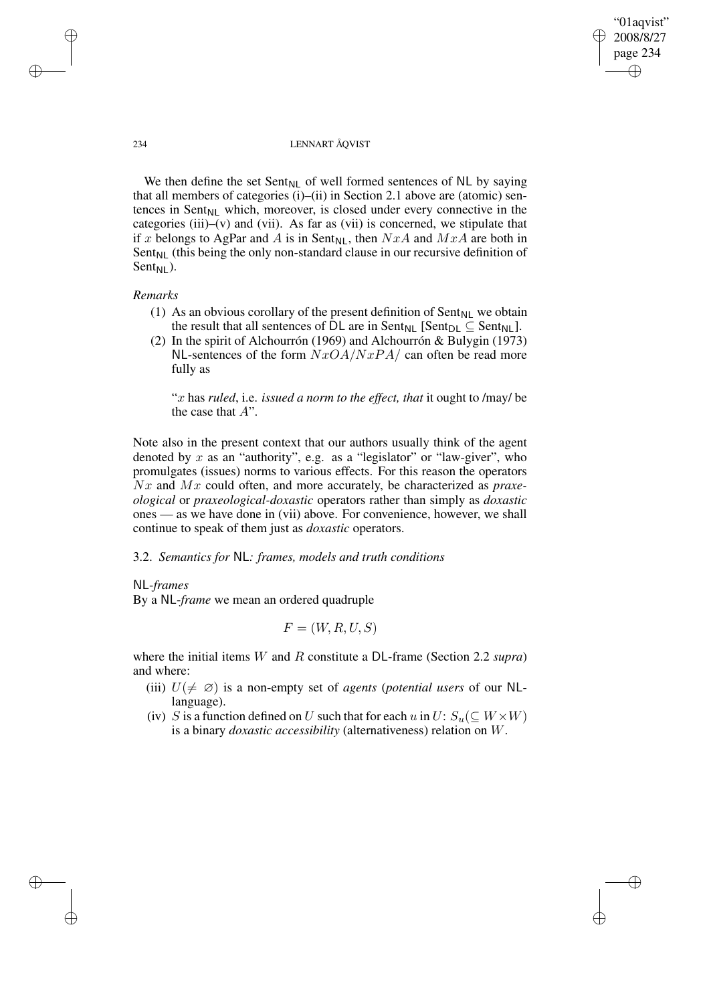"01aqvist" 2008/8/27 page 234 ✐ ✐

✐

✐

### 234 LENNART ÅQVIST

We then define the set Sent<sub>NL</sub> of well formed sentences of NL by saying that all members of categories (i)–(ii) in Section 2.1 above are (atomic) sentences in Sent $_{NL}$  which, moreover, is closed under every connective in the categories (iii)–(v) and (vii). As far as (vii) is concerned, we stipulate that if x belongs to AgPar and A is in Sent<sub>NL</sub>, then  $NxA$  and  $MxA$  are both in  $Sent_{NL}$  (this being the only non-standard clause in our recursive definition of Sent $_{\text{NI}}$ ).

# *Remarks*

- (1) As an obvious corollary of the present definition of  $Sent_{NL}$  we obtain the result that all sentences of DL are in Sent<sub>NL</sub> [Sent<sub>DL</sub>  $\subseteq$  Sent<sub>NL</sub>].
- (2) In the spirit of Alchourrón (1969) and Alchourrón & Bulygin (1973) NL-sentences of the form  $NxOA/NxPA/$  can often be read more fully as

"x has *ruled*, i.e. *issued a norm to the effect, that* it ought to /may/ be the case that  $A$ ".

Note also in the present context that our authors usually think of the agent denoted by x as an "authority", e.g. as a "legislator" or "law-giver", who promulgates (issues) norms to various effects. For this reason the operators Nx and Mx could often, and more accurately, be characterized as *praxeological* or *praxeological-doxastic* operators rather than simply as *doxastic* ones — as we have done in (vii) above. For convenience, however, we shall continue to speak of them just as *doxastic* operators.

### 3.2. *Semantics for* NL*: frames, models and truth conditions*

NL-*frames*

By a NL-*frame* we mean an ordered quadruple

$$
F = (W, R, U, S)
$$

where the initial items W and R constitute a DL-frame (Section 2.2 *supra*) and where:

- (iii)  $U(\neq \emptyset)$  is a non-empty set of *agents* (*potential users* of our NLlanguage).
- (iv) S is a function defined on U such that for each u in  $U: S_u(\subseteq W \times W)$ is a binary *doxastic accessibility* (alternativeness) relation on W.

✐

✐

✐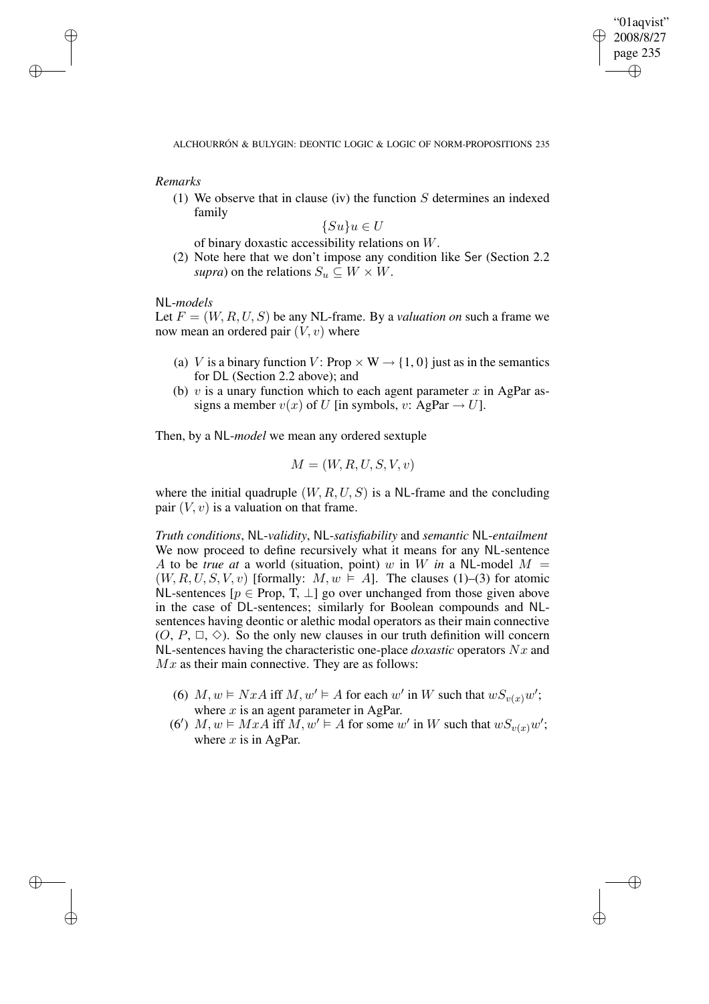✐

ALCHOURRÓN & BULYGIN: DEONTIC LOGIC & LOGIC OF NORM-PROPOSITIONS 235

*Remarks*

✐

✐

✐

✐

(1) We observe that in clause (iv) the function  $S$  determines an indexed family

$$
\{Su\}u \in U
$$

of binary doxastic accessibility relations on W.

(2) Note here that we don't impose any condition like Ser (Section 2.2 *supra*) on the relations  $S_u \subseteq W \times W$ .

NL-*models*

Let  $F = (W, R, U, S)$  be any NL-frame. By a *valuation* on such a frame we now mean an ordered pair  $(V, v)$  where

- (a) V is a binary function V: Prop  $\times$  W  $\rightarrow$  {1, 0} just as in the semantics for DL (Section 2.2 above); and
- (b) v is a unary function which to each agent parameter x in AgPar assigns a member  $v(x)$  of U [in symbols, v: AgPar  $\rightarrow$  U].

Then, by a NL-*model* we mean any ordered sextuple

$$
M = (W, R, U, S, V, v)
$$

where the initial quadruple  $(W, R, U, S)$  is a NL-frame and the concluding pair  $(V, v)$  is a valuation on that frame.

*Truth conditions*, NL-*validity*, NL-*satisfiability* and *semantic* NL-*entailment* We now proceed to define recursively what it means for any NL-sentence A to be *true* at a world (situation, point) w in W in a NL-model  $M =$  $(W, R, U, S, V, v)$  [formally:  $M, w \models A$ ]. The clauses (1)–(3) for atomic NL-sentences [ $p \in Prop, T, \perp$ ] go over unchanged from those given above in the case of DL-sentences; similarly for Boolean compounds and NLsentences having deontic or alethic modal operators as their main connective  $(0, P, \Box, \Diamond)$ . So the only new clauses in our truth definition will concern NL-sentences having the characteristic one-place *doxastic* operators Nx and  $Mx$  as their main connective. They are as follows:

- (6)  $M, w \models NxA$  iff  $M, w' \models A$  for each w' in W such that  $wS_{v(x)}w'$ ; where  $x$  is an agent parameter in AgPar.
- (6')  $M, w \models MxA$  iff  $M, w' \models A$  for some w' in W such that  $wS_{v(x)}w'$ ; where  $x$  is in AgPar.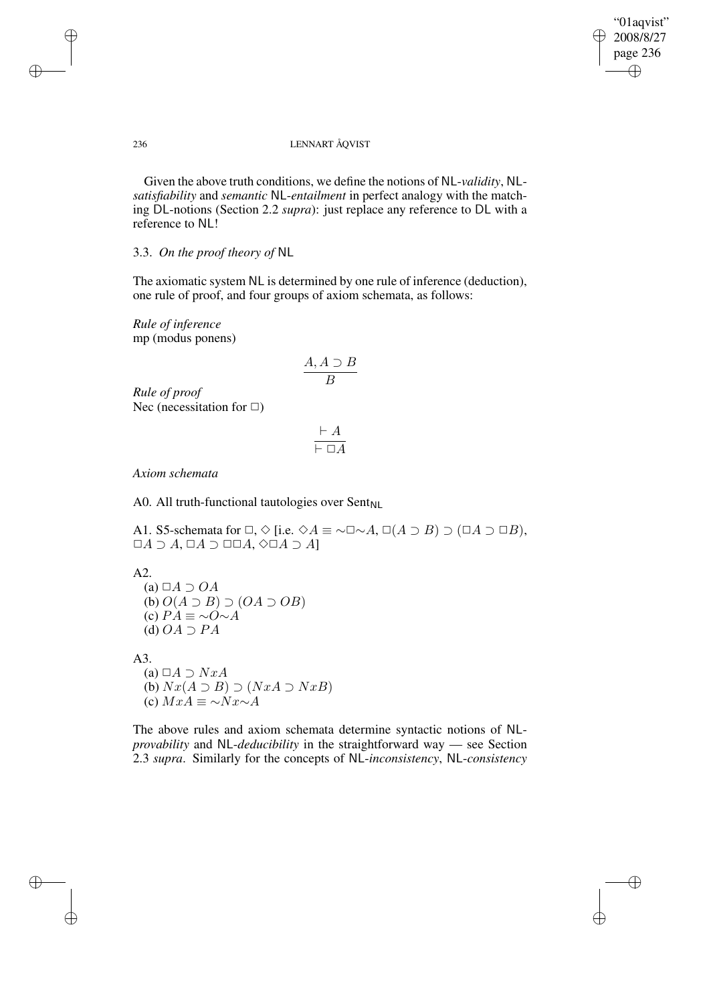"01aqvist" 2008/8/27 page 236 ✐ ✐

✐

### 236 LENNART ÅQVIST

Given the above truth conditions, we define the notions of NL-*validity*, NL*satisfiability* and *semantic* NL-*entailment* in perfect analogy with the matching DL-notions (Section 2.2 *supra*): just replace any reference to DL with a reference to NL!

# 3.3. *On the proof theory of* NL

The axiomatic system NL is determined by one rule of inference (deduction), one rule of proof, and four groups of axiom schemata, as follows:

*Rule of inference* mp (modus ponens)

$$
\frac{A, A \supset B}{B}
$$

*Rule of proof* Nec (necessitation for  $\Box$ )

$$
\frac{\vdash A}{\vdash \Box A}
$$

*Axiom schemata*

A0. All truth-functional tautologies over  $Sent_{NL}$ 

A1. S5-schemata for  $\Box, \Diamond$  [i.e.  $\Diamond A \equiv \neg \Box \neg A, \Box(A \supset B) \supset (\Box A \supset \Box B),$  $\Box A \supset A$ ,  $\Box A \supset \Box \Box A$ ,  $\Diamond \Box A \supset A$ ]

A2.

(a)  $\Box A \supset OA$ (b)  $O(A \supset B) \supset (OA \supset OB)$ (c)  $PA \equiv \sim O \sim A$ (d)  $OA \supset PA$ 

A3.

✐

✐

(a)  $\Box A \supset NxA$ (b)  $Nx(A ⊇ B) ⊇ (NxA ⊇ NxB)$ (c)  $MxA \equiv \sim Nx \sim A$ 

The above rules and axiom schemata determine syntactic notions of NL*provability* and NL-*deducibility* in the straightforward way — see Section 2.3 *supra*. Similarly for the concepts of NL-*inconsistency*, NL-*consistency*

✐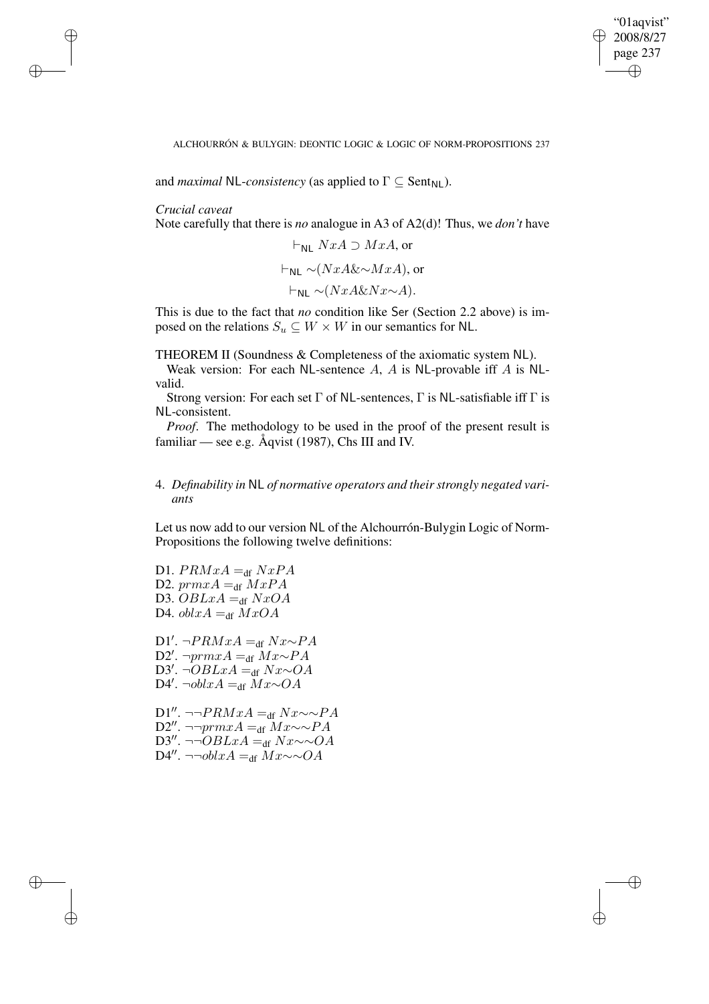✐

ALCHOURRÓN & BULYGIN: DEONTIC LOGIC & LOGIC OF NORM-PROPOSITIONS 237

and *maximal* NL-*consistency* (as applied to  $\Gamma \subseteq \text{Sent}_{\text{NL}}$ ).

*Crucial caveat*

✐

✐

✐

✐

Note carefully that there is *no* analogue in A3 of A2(d)! Thus, we *don't* have

$$
\vdash_{\mathsf{NL}} NxA \supset MxA, \text{ or}
$$

$$
\vdash_{\mathsf{NL}} \sim (NxA\&\sim MxA), \text{ or}
$$

$$
\vdash_{\mathsf{NL}} \sim (NxA\&Nx\sim A).
$$

This is due to the fact that *no* condition like Ser (Section 2.2 above) is imposed on the relations  $S_u \subseteq W \times W$  in our semantics for NL.

THEOREM II (Soundness & Completeness of the axiomatic system NL).

Weak version: For each NL-sentence A, A is NL-provable iff A is NLvalid.

Strong version: For each set  $\Gamma$  of NL-sentences,  $\Gamma$  is NL-satisfiable iff  $\Gamma$  is NL-consistent.

*Proof.* The methodology to be used in the proof of the present result is familiar — see e.g. Åqvist (1987), Chs III and IV.

# 4. *Definability in* NL *of normative operators and their strongly negated variants*

Let us now add to our version NL of the Alchourrón-Bulygin Logic of Norm-Propositions the following twelve definitions:

D1.  $PRMxA =_{df} NxPA$ D2.  $prmxA =_{df} MxPA$ D3.  $OBLxA =_{df} NxOA$ D4.  $oblxA =_{df} MxOA$ 

D1'. ¬ $PRMxA =_{df} Nx \sim PA$ D2'. ¬prmxA =<sub>df</sub> Mx∼PA D3'. ¬ $OBLxA =_{df} Nx~OA$ D4'. ¬ $oblxA =_{df} Mx \sim OA$ 

D1". ¬¬ $PRMxA =_{df} Nx \sim \sim PA$ D2". ¬¬prmxA =<sub>df</sub> Mx∼∼PA D3". ¬¬ $OBLxA =_{df} Nx \sim OA$ D4". ¬¬obl $xA =_{df} Mx \sim \sim OA$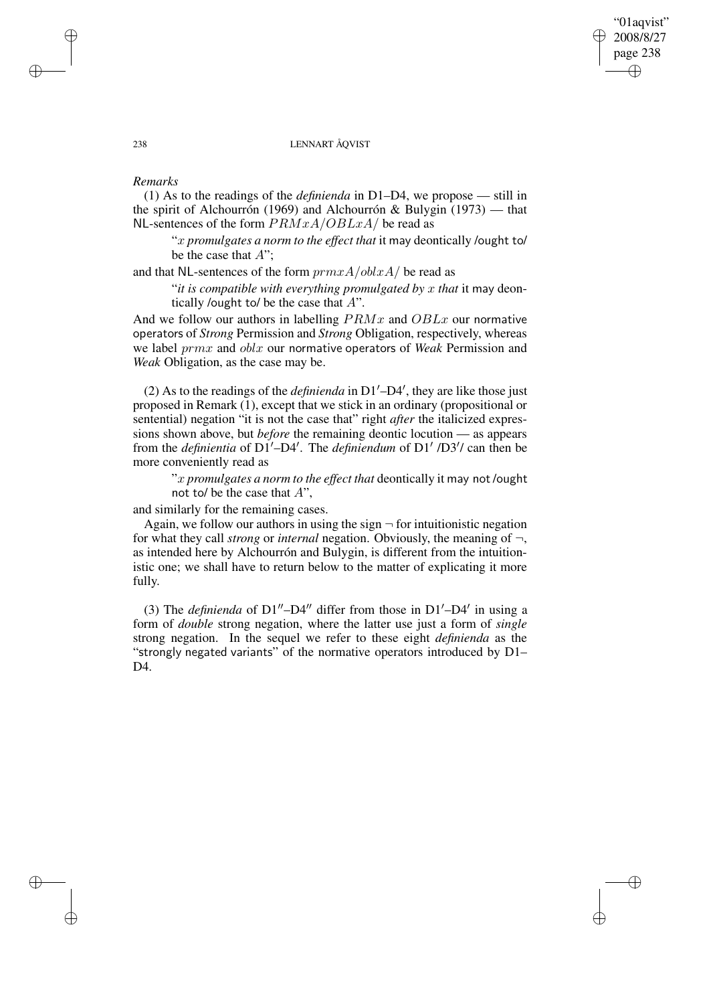# "01aqvist" 2008/8/27 page 238 ✐ ✐

✐

✐

### 238 LENNART ÅQVIST

# *Remarks*

✐

✐

✐

✐

(1) As to the readings of the *definienda* in D1–D4, we propose — still in the spirit of Alchourrón (1969) and Alchourrón & Bulygin (1973) — that NL-sentences of the form  $PRMxA/OBLxA$  be read as

"x *promulgates a norm to the effect that* it may deontically /ought to/ be the case that  $A$ ";

and that NL-sentences of the form  $prmxA/oblxA/$  be read as

"*it is compatible with everything promulgated by* x *that* it may deontically /ought to/ be the case that  $A$ ".

And we follow our authors in labelling  $PRMx$  and  $OBLx$  our normative operators of *Strong* Permission and *Strong* Obligation, respectively, whereas we label prmx and oblx our normative operators of *Weak* Permission and *Weak* Obligation, as the case may be.

(2) As to the readings of the *definienda* in  $DI'$ –D4', they are like those just proposed in Remark (1), except that we stick in an ordinary (propositional or sentential) negation "it is not the case that" right *after* the italicized expressions shown above, but *before* the remaining deontic locution — as appears from the *definientia* of  $D1'$ – $D4'$ . The *definiendum* of  $D1'$  / $D3'$ / can then be more conveniently read as

"x *promulgates a norm to the effect that* deontically it may not /ought not to/ be the case that  $A$ ",

and similarly for the remaining cases.

Again, we follow our authors in using the sign  $\neg$  for intuitionistic negation for what they call *strong* or *internal* negation. Obviously, the meaning of ¬, as intended here by Alchourrón and Bulygin, is different from the intuitionistic one; we shall have to return below to the matter of explicating it more fully.

(3) The *definienda* of  $DI''-D4''$  differ from those in  $DI'-D4'$  in using a form of *double* strong negation, where the latter use just a form of *single* strong negation. In the sequel we refer to these eight *definienda* as the "strongly negated variants" of the normative operators introduced by D1– D<sub>4</sub>.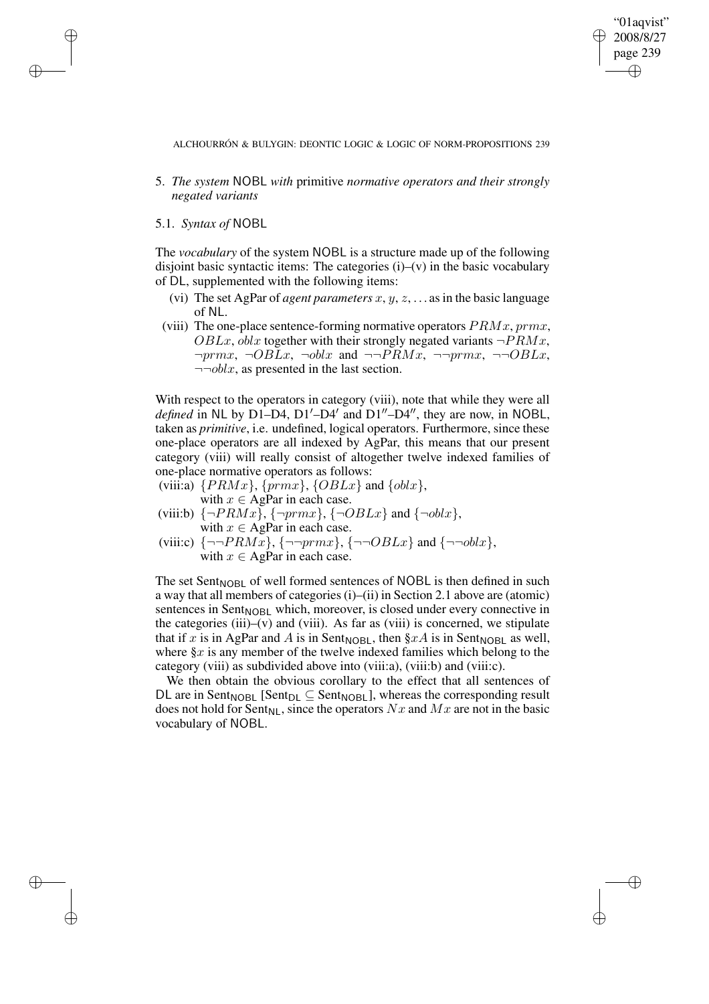"01aqvist" 2008/8/27 page 239 ✐ ✐

✐

✐

ALCHOURRÓN & BULYGIN: DEONTIC LOGIC & LOGIC OF NORM-PROPOSITIONS 239

- 5. *The system* NOBL *with* primitive *normative operators and their strongly negated variants*
- 5.1. *Syntax of* NOBL

✐

✐

✐

✐

The *vocabulary* of the system NOBL is a structure made up of the following disjoint basic syntactic items: The categories  $(i)$ – $(v)$  in the basic vocabulary of DL, supplemented with the following items:

- (vi) The set AgPar of *agent parameters*  $x, y, z, \ldots$  as in the basic language of NL.
- (viii) The one-place sentence-forming normative operators  $PRMx, prmx,$  $OBLx$ , *oblx* together with their strongly negated variants  $\neg PRMx$ ,  $\neg prmx$ ,  $\neg OBLx$ ,  $\neg oblx$  and  $\neg \neg PRMx$ ,  $\neg \neg prmx$ ,  $\neg \neg OBLx$ ,  $\neg\neg oblx$ , as presented in the last section.

With respect to the operators in category (viii), note that while they were all *defined* in NL by D1–D4, D1'–D4' and D1"–D4", they are now, in NOBL, taken as *primitive*, i.e. undefined, logical operators. Furthermore, since these one-place operators are all indexed by AgPar, this means that our present category (viii) will really consist of altogether twelve indexed families of one-place normative operators as follows:

- (viii:a)  $\{PRMx\}$ ,  $\{prmx\}$ ,  $\{OBLx\}$  and  $\{oblx\}$ , with  $x \in \text{AgPar}$  in each case.
- (viii:b)  $\{\neg PRMx\}$ ,  $\{\neg pmx\}$ ,  $\{\neg OBLx\}$  and  $\{\neg oblx\}$ , with  $x \in \text{AgPar}$  in each case.
- (viii:c)  $\{\neg \neg PRM\overline{x}\}, \{\neg \neg prmx\}, \{\neg \neg OBLx\}$  and  $\{\neg \neg oblx\},$ with  $x \in \text{AgPar}$  in each case.

The set Sent $N$ OBL of well formed sentences of NOBL is then defined in such a way that all members of categories (i)–(ii) in Section 2.1 above are (atomic) sentences in Sent<sub>NOBL</sub> which, moreover, is closed under every connective in the categories (iii)–(v) and (viii). As far as (viii) is concerned, we stipulate that if x is in AgPar and A is in Sent<sub>NOBL</sub>, then  $\S xA$  is in Sent<sub>NOBL</sub> as well, where  $\S x$  is any member of the twelve indexed families which belong to the category (viii) as subdivided above into (viii:a), (viii:b) and (viii:c).

We then obtain the obvious corollary to the effect that all sentences of DL are in Sent<sub>NOBL</sub> [Sent<sub>DL</sub>  $\subseteq$  Sent<sub>NOBL</sub>], whereas the corresponding result does not hold for Sent<sub>NL</sub>, since the operators Nx and Mx are not in the basic vocabulary of NOBL.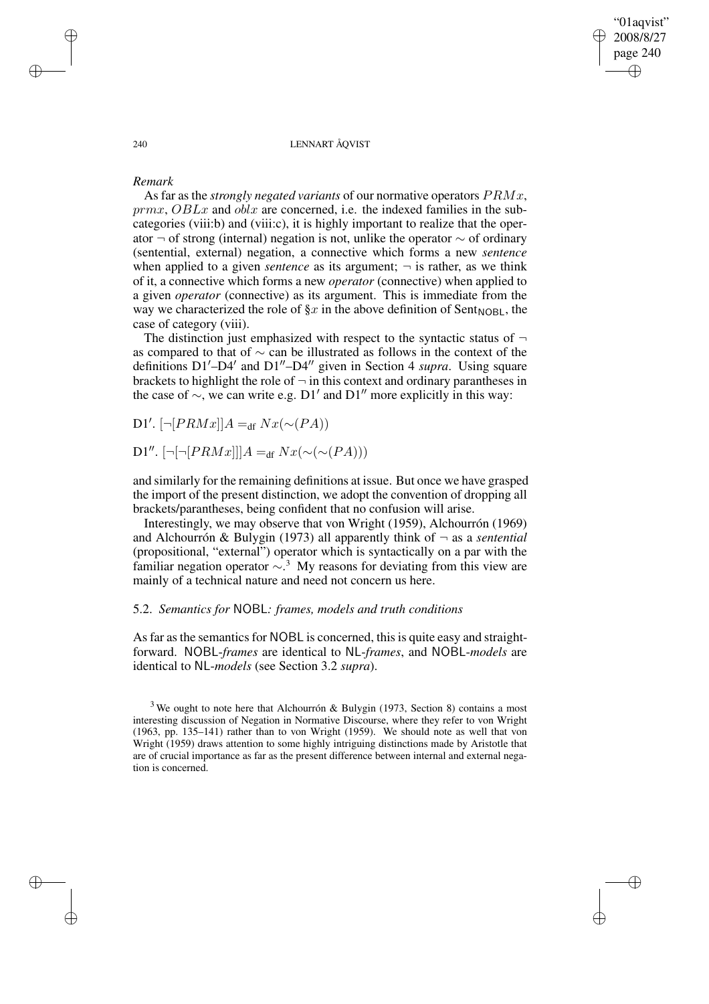"01aqvist" 2008/8/27 page 240 ✐ ✐

✐

✐

#### 240 LENNART ÅQVIST

# *Remark*

✐

✐

✐

✐

As far as the *strongly negated variants* of our normative operators PRMx,  $prmx, OBLx$  and  $oblx$  are concerned, i.e. the indexed families in the subcategories (viii:b) and (viii:c), it is highly important to realize that the operator ¬ of strong (internal) negation is not, unlike the operator ∼ of ordinary (sentential, external) negation, a connective which forms a new *sentence* when applied to a given *sentence* as its argument;  $\neg$  is rather, as we think of it, a connective which forms a new *operator* (connective) when applied to a given *operator* (connective) as its argument. This is immediate from the way we characterized the role of  $\S x$  in the above definition of Sent<sub>NOBL</sub>, the case of category (viii).

The distinction just emphasized with respect to the syntactic status of  $\neg$ as compared to that of ∼ can be illustrated as follows in the context of the definitions  $D1'$ – $D4'$  and  $D1''$ – $D4''$  given in Section 4 *supra*. Using square brackets to highlight the role of  $\neg$  in this context and ordinary parantheses in the case of  $\sim$ , we can write e.g. D1' and D1" more explicitly in this way:

D1'. [¬[ $PRMx$ ]] $A =_{df} Nx$ (~ $(PA)$ )

D1".  $[\neg[\neg [PRMx]]]A =_{df} Nx(\sim(PA)))$ 

and similarly for the remaining definitions at issue. But once we have grasped the import of the present distinction, we adopt the convention of dropping all brackets/parantheses, being confident that no confusion will arise.

Interestingly, we may observe that von Wright (1959), Alchourrón (1969) and Alchourrón & Bulygin (1973) all apparently think of ¬ as a *sentential* (propositional, "external") operator which is syntactically on a par with the familiar negation operator  $\sim$ .<sup>3</sup> My reasons for deviating from this view are mainly of a technical nature and need not concern us here.

# 5.2. *Semantics for* NOBL*: frames, models and truth conditions*

As far as the semantics for NOBL is concerned, this is quite easy and straightforward. NOBL-*frames* are identical to NL-*frames*, and NOBL-*models* are identical to NL-*models* (see Section 3.2 *supra*).

 $3$  We ought to note here that Alchourrón & Bulygin (1973, Section 8) contains a most interesting discussion of Negation in Normative Discourse, where they refer to von Wright (1963, pp. 135–141) rather than to von Wright (1959). We should note as well that von Wright (1959) draws attention to some highly intriguing distinctions made by Aristotle that are of crucial importance as far as the present difference between internal and external negation is concerned.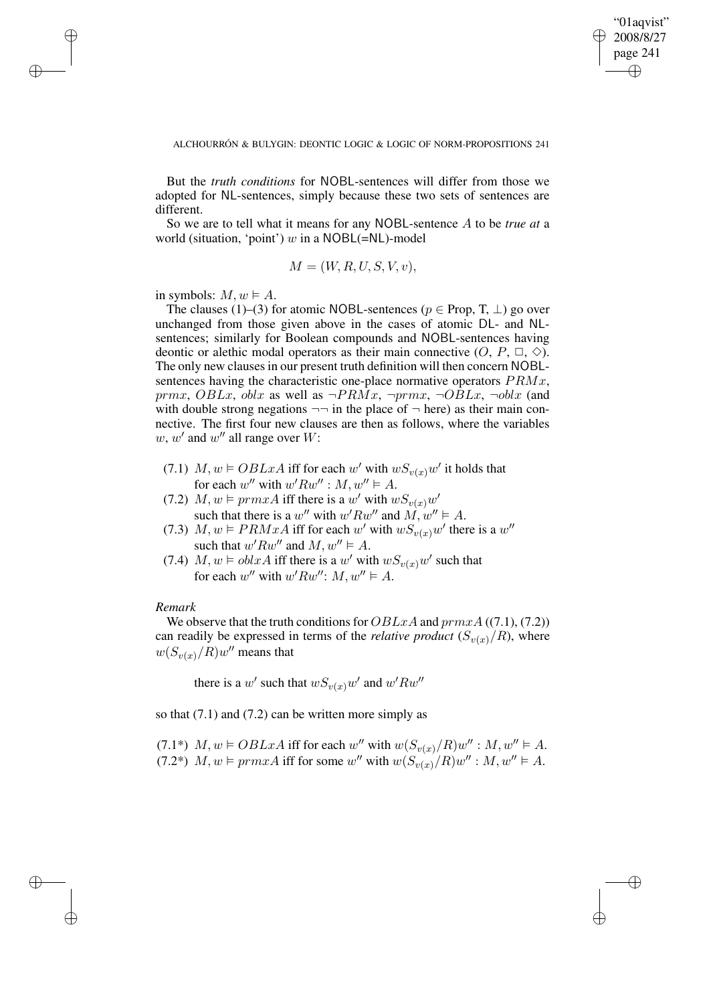✐

#### ALCHOURRÓN & BULYGIN: DEONTIC LOGIC & LOGIC OF NORM-PROPOSITIONS 241

But the *truth conditions* for NOBL-sentences will differ from those we adopted for NL-sentences, simply because these two sets of sentences are different.

So we are to tell what it means for any NOBL-sentence A to be *true at* a world (situation, 'point') w in a  $NOBL(=NL)$ -model

$$
M = (W, R, U, S, V, v),
$$

in symbols:  $M, w \models A$ .

✐

✐

✐

✐

The clauses (1)–(3) for atomic NOBL-sentences ( $p \in Prop, T, \perp$ ) go over unchanged from those given above in the cases of atomic DL- and NLsentences; similarly for Boolean compounds and NOBL-sentences having deontic or alethic modal operators as their main connective  $(O, P, \Box, \Diamond)$ . The only new clauses in our present truth definition will then concern NOBLsentences having the characteristic one-place normative operators  $PRMx$ , prmx, OBLx, oblx as well as  $\neg PRMx$ ,  $\neg prmx$ ,  $\neg OBLx$ ,  $\neg oblx$  (and with double strong negations  $\neg$  in the place of  $\neg$  here) as their main connective. The first four new clauses are then as follows, where the variables  $w, w'$  and  $w''$  all range over  $W$ :

- (7.1)  $M, w \models OBLxA$  iff for each w' with  $wS_{v(x)}w'$  it holds that for each w'' with  $w' R w''$  :  $M, w'' \models A$ .
- (7.2)  $M, w \models prmxA$  iff there is a w' with  $wS_{v(x)}w'$ such that there is a w'' with  $w' R w''$  and  $\overline{M}, w'' \vDash A$ .
- (7.3)  $M, w \models PRMxA$  iff for each w' with  $wS_{v(x)}w'$  there is a w" such that  $w' R w''$  and  $M, w'' \models A$ .
- (7.4)  $M, w \models oblxA$  iff there is a w' with  $wS_{v(x)}w'$  such that for each w'' with  $w' R w''$ :  $M, w'' \models A$ .

### *Remark*

We observe that the truth conditions for  $OBLxA$  and  $prmxA ((7.1), (7.2))$ can readily be expressed in terms of the *relative product*  $(S_{v(x)}/R)$ , where  $w(S_{v(x)}/R)w''$  means that

there is a w' such that  $wS_{v(x)}w'$  and  $w'Rw''$ 

so that  $(7.1)$  and  $(7.2)$  can be written more simply as

(7.1\*)  $M, w \models OBLxA$  iff for each w'' with  $w(S_{v(x)}/R)w'': M, w'' \models A$ .  $(7.2^*)$   $M, w \vDash prmxA$  iff for some w'' with  $w(S_{v(x)}/R)w'' : M, w'' \vDash A$ .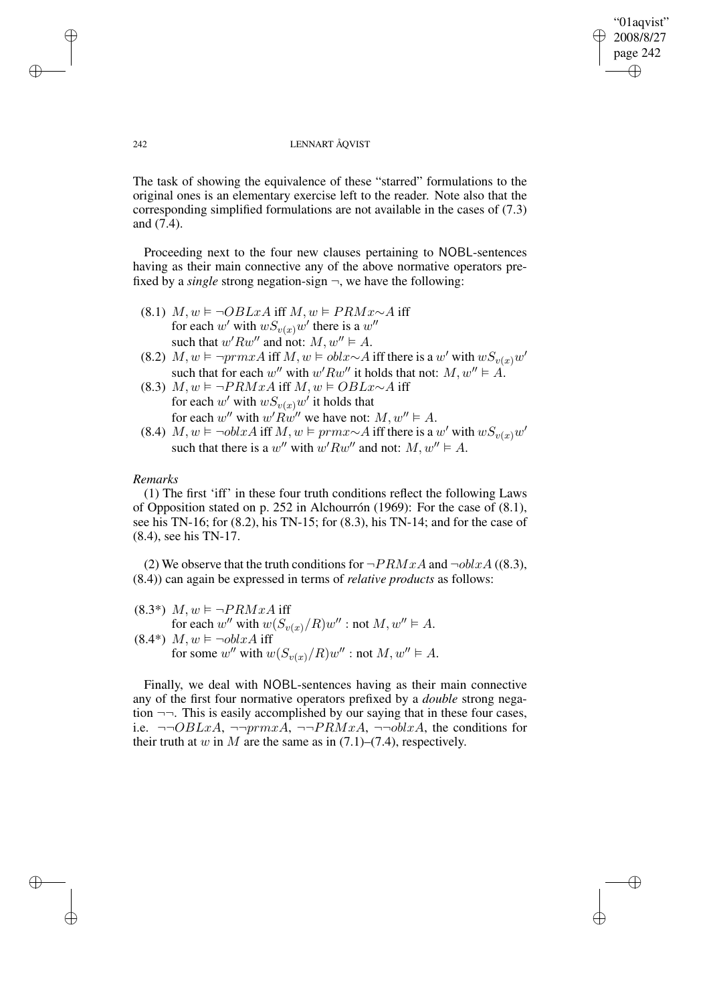"01aqvist" 2008/8/27 page 242 ✐ ✐

✐

✐

### 242 LENNART ÅQVIST

The task of showing the equivalence of these "starred" formulations to the original ones is an elementary exercise left to the reader. Note also that the corresponding simplified formulations are not available in the cases of (7.3) and (7.4).

Proceeding next to the four new clauses pertaining to NOBL-sentences having as their main connective any of the above normative operators prefixed by a *single* strong negation-sign  $\neg$ , we have the following:

- (8.1)  $M, w \models \neg OBLxA$  iff  $M, w \models PRMx \sim A$  iff for each w' with  $wS_{v(x)}w'$  there is a  $w''$ such that  $w' R w''$  and not:  $M, w'' \models A$ .
- (8.2)  $M, w \models \neg \text{prmxA}$  iff  $M, w \models \text{oblx} \sim A$  iff there is a w' with  $wS_{v(x)}w'$ such that for each w'' with  $w' R w''$  it holds that not:  $M, w'' \models A$ .
- (8.3)  $M, w \models \neg PRMxA$  iff  $M, w \models OBLx \sim A$  iff for each w' with  $wS_{v(x)}w'$  it holds that for each w'' with  $w' \overline{R} w''$  we have not:  $M, w'' \vDash A$ .
- (8.4)  $M, w \models \neg oblxA$  iff  $M, w \models prmx \sim A$  iff there is a w' with  $wS_{v(x)}w'$ such that there is a w'' with  $w' R w''$  and not:  $M, w'' \models A$ .

# *Remarks*

(1) The first 'iff' in these four truth conditions reflect the following Laws of Opposition stated on p. 252 in Alchourrón (1969): For the case of (8.1), see his TN-16; for (8.2), his TN-15; for (8.3), his TN-14; and for the case of (8.4), see his TN-17.

(2) We observe that the truth conditions for  $\neg PRMxA$  and  $\neg oblxA$  ((8.3), (8.4)) can again be expressed in terms of *relative products* as follows:

(8.3\*) 
$$
M, w \vDash \neg PRMxA
$$
 iff  
for each  $w''$  with  $w(S_{v(x)}/R)w''$  : not  $M, w'' \vDash A$ .  
(8.4\*)  $M, w \vDash \neg oblxA$  iff  
for some  $w''$  with  $w(S_{v(x)}/R)w''$  : not  $M, w'' \vDash A$ .

Finally, we deal with NOBL-sentences having as their main connective any of the first four normative operators prefixed by a *double* strong negation ¬¬. This is easily accomplished by our saying that in these four cases, i.e.  $\neg\neg OBLxA$ ,  $\neg\neg prmxA$ ,  $\neg\neg PRMxA$ ,  $\neg\neg oblxA$ , the conditions for their truth at w in M are the same as in  $(7.1)$ – $(7.4)$ , respectively.

✐

✐

✐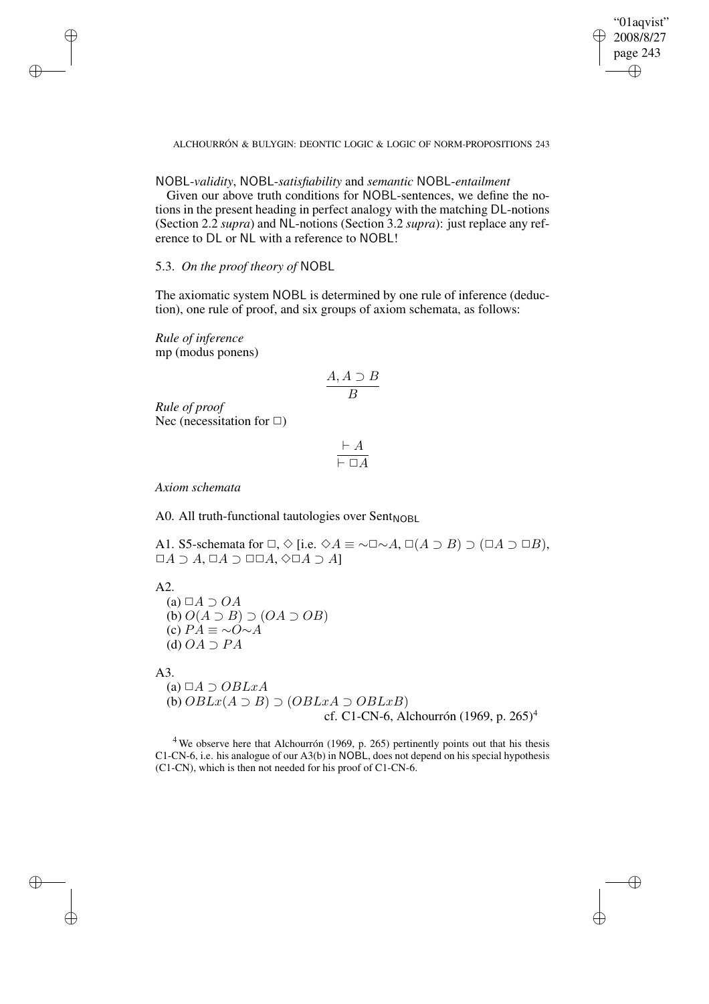"01aqvist" 2008/8/27 page 243 ✐ ✐

✐

✐

ALCHOURRÓN & BULYGIN: DEONTIC LOGIC & LOGIC OF NORM-PROPOSITIONS 243

# NOBL-*validity*, NOBL-*satisfiability* and *semantic* NOBL-*entailment*

Given our above truth conditions for NOBL-sentences, we define the notions in the present heading in perfect analogy with the matching DL-notions (Section 2.2 *supra*) and NL-notions (Section 3.2 *supra*): just replace any reference to DL or NL with a reference to NOBL!

5.3. *On the proof theory of* NOBL

The axiomatic system NOBL is determined by one rule of inference (deduction), one rule of proof, and six groups of axiom schemata, as follows:

*Rule of inference* mp (modus ponens)

✐

✐

✐

✐

$$
\frac{A, A \supset B}{B}
$$

*Rule of proof* Nec (necessitation for  $\Box$ )

$$
\frac{\vdash A}{\vdash \Box A}
$$

*Axiom schemata*

A0. All truth-functional tautologies over  $Sent_{NORL}$ 

A1. S5-schemata for  $\Box, \Diamond$  [i.e.  $\Diamond A \equiv \neg \Box \neg A, \Box(A \supset B) \supset (\Box A \supset \Box B),$  $\Box A \supset A$ ,  $\Box A \supset \Box \Box A$ ,  $\Diamond \Box A \supset A$ ]

A2.

(a)  $\Box A \supset OA$ (b)  $O(A \supset B) \supset (OA \supset OB)$ (c)  $PA \equiv \sim O \sim A$ (d)  $OA \supset PA$ 

A3.

(a)  $\Box A \supset OBLxA$ (b)  $OBLx(A \supset B) \supset (OBLxA \supset OBLxB)$ cf. C1-CN-6, Alchourrón (1969, p. 265)<sup>4</sup>

 $4$  We observe here that Alchourrón (1969, p. 265) pertinently points out that his thesis C1-CN-6, i.e. his analogue of our A3(b) in NOBL, does not depend on his special hypothesis (C1-CN), which is then not needed for his proof of C1-CN-6.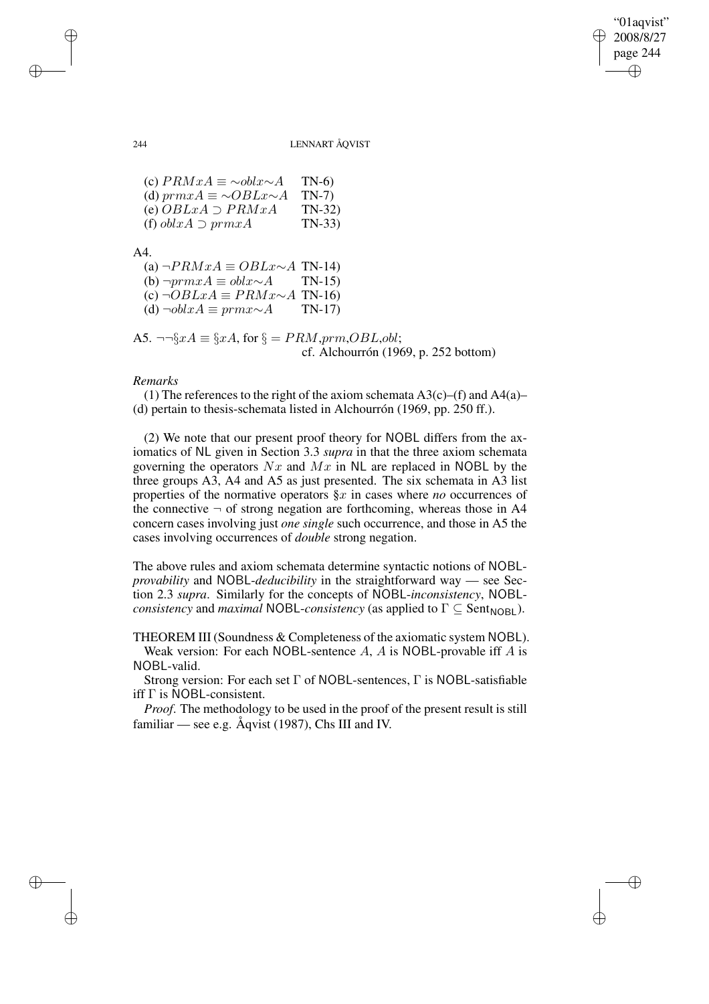"01aqvist" 2008/8/27 page 244 ✐ ✐

✐

✐

### 244 LENNART ÅQVIST

(c)  $PRMxA \equiv \sim \text{oblx} \sim A$  TN-6)<br>(d)  $\text{prmx}A \equiv \sim \text{OBLx} \sim A$  TN-7) (d)  $prmxA \equiv \sim OBLx \sim A$ (e)  $OBLxA \supset PRMxA$  TN-32) (f)  $oblxA \supset prmxA$  TN-33)

A4.

| (a) $\neg PRMxA \equiv OBLx \sim A$ TN-14) |         |
|--------------------------------------------|---------|
| (b) $\neg prmxA \equiv oblx \sim A$ TN-15) |         |
| (c) $\neg OBLxA \equiv PRMx \sim A$ TN-16) |         |
| (d) $\neg oblxA \equiv prmx \sim A$        | $TN-17$ |

A5. 
$$
\neg \neg \S xA \equiv \S xA
$$
, for  $\S = PRM, prm, OBL, obl$ ;  
cf. Alchourrón (1969, p. 252 bottom)

# *Remarks*

(1) The references to the right of the axiom schemata  $A3(c)$ –(f) and  $A4(a)$ – (d) pertain to thesis-schemata listed in Alchourrón (1969, pp. 250 ff.).

(2) We note that our present proof theory for NOBL differs from the axiomatics of NL given in Section 3.3 *supra* in that the three axiom schemata governing the operators  $Nx$  and  $Mx$  in NL are replaced in NOBL by the three groups A3, A4 and A5 as just presented. The six schemata in A3 list properties of the normative operators §x in cases where *no* occurrences of the connective  $\neg$  of strong negation are forthcoming, whereas those in A4 concern cases involving just *one single* such occurrence, and those in A5 the cases involving occurrences of *double* strong negation.

The above rules and axiom schemata determine syntactic notions of NOBL*provability* and NOBL-*deducibility* in the straightforward way — see Section 2.3 *supra*. Similarly for the concepts of NOBL-*inconsistency*, NOBL*consistency* and *maximal* NOBL-*consistency* (as applied to  $\Gamma \subseteq$  Sent<sub>NOBL</sub>).

THEOREM III (Soundness & Completeness of the axiomatic system NOBL). Weak version: For each NOBL-sentence  $A$ ,  $A$  is NOBL-provable iff  $A$  is NOBL-valid.

Strong version: For each set Γ of NOBL-sentences, Γ is NOBL-satisfiable iff Γ is NOBL-consistent.

*Proof*. The methodology to be used in the proof of the present result is still familiar — see e.g.  $\AA$ qvist (1987), Chs III and IV.

✐

✐

✐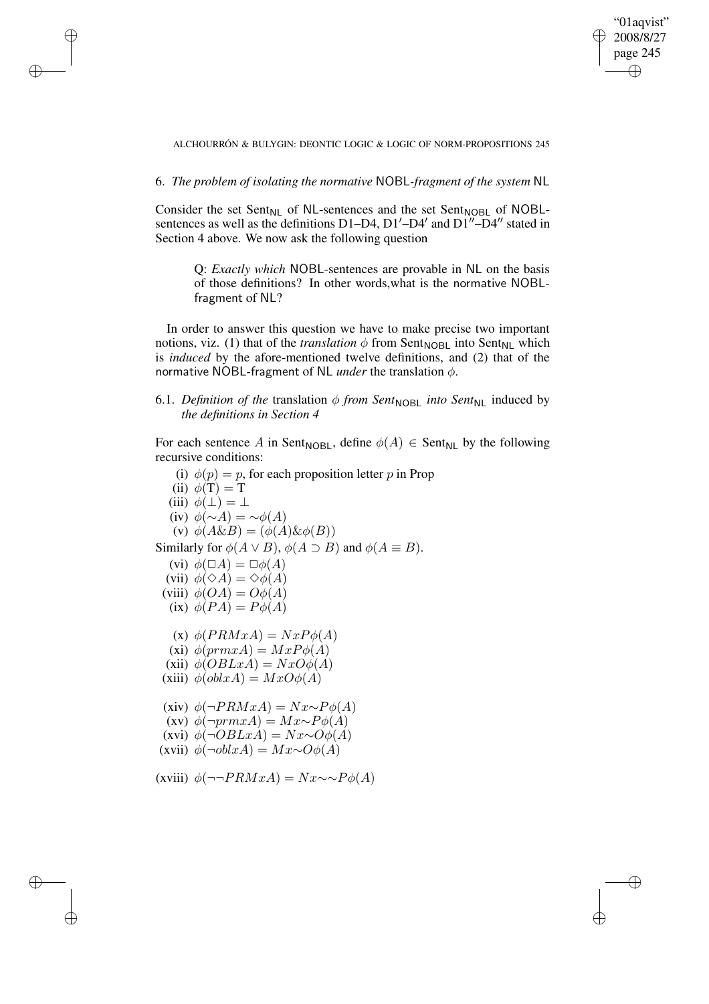✐

ALCHOURRÓN & BULYGIN: DEONTIC LOGIC & LOGIC OF NORM-PROPOSITIONS 245

6. *The problem of isolating the normative* NOBL*-fragment of the system* NL

✐

✐

✐

✐

Consider the set Sent<sub>NL</sub> of NL-sentences and the set Sent<sub>NOBL</sub> of NOBLsentences as well as the definitions D1–D4,  $D1'$ –D4' and  $D1''$ –D4" stated in Section 4 above. We now ask the following question

Q: *Exactly which* NOBL-sentences are provable in NL on the basis of those definitions? In other words,what is the normative NOBLfragment of NL?

In order to answer this question we have to make precise two important notions, viz. (1) that of the *translation*  $\phi$  from Sent<sub>NOBL</sub> into Sent<sub>NL</sub> which is *induced* by the afore-mentioned twelve definitions, and (2) that of the normative NOBL-fragment of NL *under* the translation φ.

6.1. *Definition of the translation*  $\phi$  *from Sent<sub>NOBL</sub> <i>into Sent*<sub>NL</sub> induced by *the definitions in Section 4*

For each sentence A in Sent<sub>NOBL</sub>, define  $\phi(A) \in$  Sent<sub>NL</sub> by the following recursive conditions:

(i)  $\phi(p) = p$ , for each proposition letter p in Prop (ii)  $\phi(T) = T$ (iii)  $\phi(\perp) = \perp$ (iv)  $\phi(\sim A) = \sim \phi(A)$ (v)  $\phi(A\&B) = (\phi(A)\&\phi(B))$ Similarly for  $\phi(A \lor B)$ ,  $\phi(A \supset B)$  and  $\phi(A \equiv B)$ . (vi)  $\phi(\Box A) = \Box \phi(A)$ (vii)  $\phi(\Diamond A) = \Diamond \phi(A)$ (viii)  $\phi(OA) = O\phi(A)$ (ix)  $\phi(PA) = P\phi(A)$ (x)  $\phi(PRMxA) = NxP\phi(A)$ (xi)  $\phi(prm xA) = MxP\phi(A)$ (xii)  $\phi(OBLxA) = NxO\phi(A)$ (xiii)  $\phi(\text{obl} xA) = MxO\phi(A)$ (xiv)  $\phi(\neg PRMxA) = Nx \sim P\phi(A)$ (xv)  $\phi(\neg \text{prm} xA) = Mx \sim P\phi(A)$ (xvi)  $\phi(\neg OBLxA) = Nx \sim O\phi(A)$ (xvii)  $\phi(\neg \text{obl} xA) = Mx \sim O\phi(A)$ (xviii)  $\phi(\neg \neg PRMxA) = Nx \sim \neg P\phi(A)$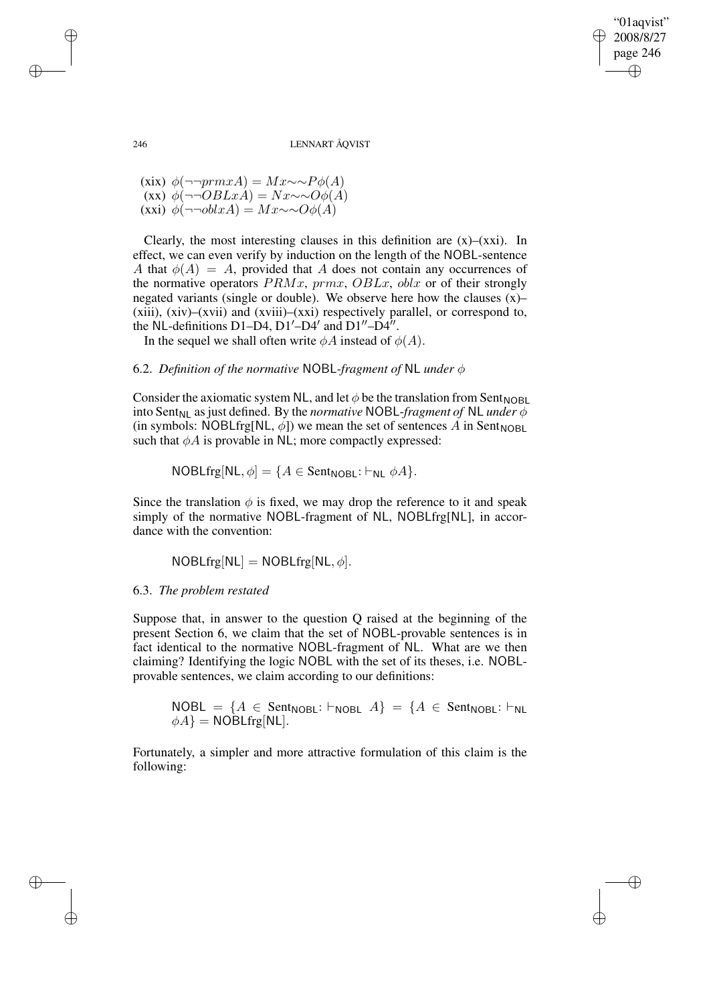"01aqvist" 2008/8/27 page 246 ✐ ✐

✐

✐

246 LENNART ÅQVIST

(xix)  $\phi(\neg \neg \text{prm} xA) = Mx \sim P\phi(A)$  $(xx)$  φ(¬¬ $OBLxA$ ) =  $Nx \sim O\phi(A)$ (xxi)  $\phi(\neg\neg{\text{oblx}}A) = Mx \sim O(\phi(A))$ 

Clearly, the most interesting clauses in this definition are  $(x)$ – $(xxi)$ . In effect, we can even verify by induction on the length of the NOBL-sentence A that  $\phi(A) = A$ , provided that A does not contain any occurrences of the normative operators  $PRMx$ ,  $prmx$ ,  $OBLx$ ,  $oblx$  or of their strongly negated variants (single or double). We observe here how the clauses (x)– (xiii), (xiv)–(xvii) and (xviii)–(xxi) respectively parallel, or correspond to, the NL-definitions D1–D4, D1'–D4' and D1"–D4".

In the sequel we shall often write  $\phi A$  instead of  $\phi(A)$ .

# 6.2. *Definition of the normative* NOBL*-fragment of* NL *under* φ

Consider the axiomatic system NL, and let  $\phi$  be the translation from Sent<sub>NOBL</sub> into Sent<sub>NL</sub> as just defined. By the *normative* NOBL-*fragment of* NL *under*  $\phi$ (in symbols: NOBLfrg[NL,  $\phi$ ]) we mean the set of sentences A in Sent<sub>NOBL</sub> such that  $\phi A$  is provable in NL; more compactly expressed:

 $NOBLfrg[NL, \phi] = \{A \in Sent_{NOBL}: \vdash_{NL} \phi A\}.$ 

Since the translation  $\phi$  is fixed, we may drop the reference to it and speak simply of the normative NOBL-fragment of NL, NOBLfrg[NL], in accordance with the convention:

 $NOBLfrg[NL] = NOBLfrg[NL, \phi].$ 

### 6.3. *The problem restated*

Suppose that, in answer to the question Q raised at the beginning of the present Section 6, we claim that the set of NOBL-provable sentences is in fact identical to the normative NOBL-fragment of NL. What are we then claiming? Identifying the logic NOBL with the set of its theses, i.e. NOBLprovable sentences, we claim according to our definitions:

 $NOBL = \{A \in Sent_{NOBL}: \vdash_{NOBL} A\} = \{A \in Sent_{NOBL}: \vdash_{NL} A\}$  $\phi A$ } = NOBLfrg[NL].

Fortunately, a simpler and more attractive formulation of this claim is the following:

✐

✐

✐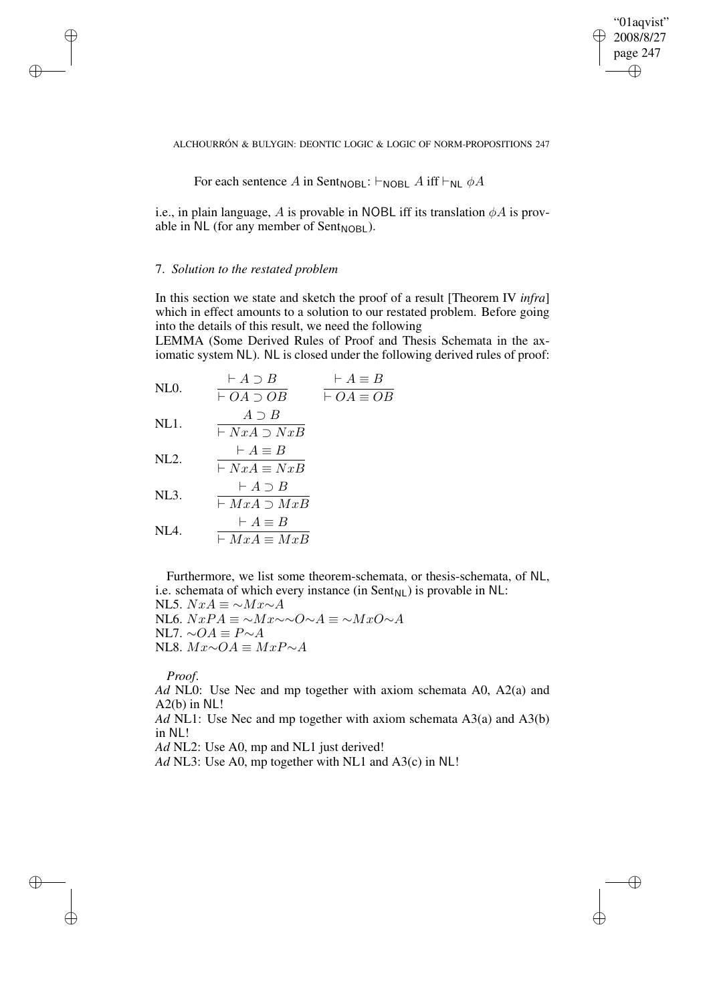✐

ALCHOURRÓN & BULYGIN: DEONTIC LOGIC & LOGIC OF NORM-PROPOSITIONS 247

For each sentence A in Sent<sub>NOBL</sub>: 
$$
\vdash
$$
<sub>NOBL</sub> A iff  $\vdash$ <sub>NL</sub>  $\phi$ A

i.e., in plain language, A is provable in NOBL iff its translation  $\phi A$  is provable in  $NL$  (for any member of Sent<sub>NOBL</sub>).

# 7. *Solution to the restated problem*

✐

✐

✐

✐

In this section we state and sketch the proof of a result [Theorem IV *infra*] which in effect amounts to a solution to our restated problem. Before going into the details of this result, we need the following

LEMMA (Some Derived Rules of Proof and Thesis Schemata in the axiomatic system NL). NL is closed under the following derived rules of proof:

NLO. 
$$
\frac{\vdash A \supset B}{\vdash OA \supset OB}
$$
  $\frac{\vdash A \equiv B}{\vdash OA \equiv OB}$ 

NL1. 
$$
\frac{A \cup B}{\vdash NxA \supset NxB}
$$

NL2. 
$$
\frac{\vdash A \equiv B}{\vdash NxA \equiv NxB}
$$

$$
\text{NL3.} \qquad \frac{\vdash A \supset B}{\vdash MxA \supset MxB}
$$

$$
NLA. \qquad \frac{\vdash A \equiv B}{\vdash MxA \equiv MxB}
$$

Furthermore, we list some theorem-schemata, or thesis-schemata, of NL, i.e. schemata of which every instance (in  $Sent_{NL})$  is provable in NL:

NL5.  $NxA \equiv \sim Mx \sim A$ NL6.  $NxPA \equiv \sim Mx \sim \sim Q \sim A \equiv \sim MxQ \sim A$ NL7.  $\sim OA \equiv P \sim A$ NL8.  $Mx \sim OA \equiv MxP \sim A$ 

*Proof*.

*Ad* NL0: Use Nec and mp together with axiom schemata A0, A2(a) and A2(b) in NL!

*Ad* NL1: Use Nec and mp together with axiom schemata A3(a) and A3(b) in NL!

*Ad* NL2: Use A0, mp and NL1 just derived!

*Ad* NL3: Use A0, mp together with NL1 and A3(c) in NL!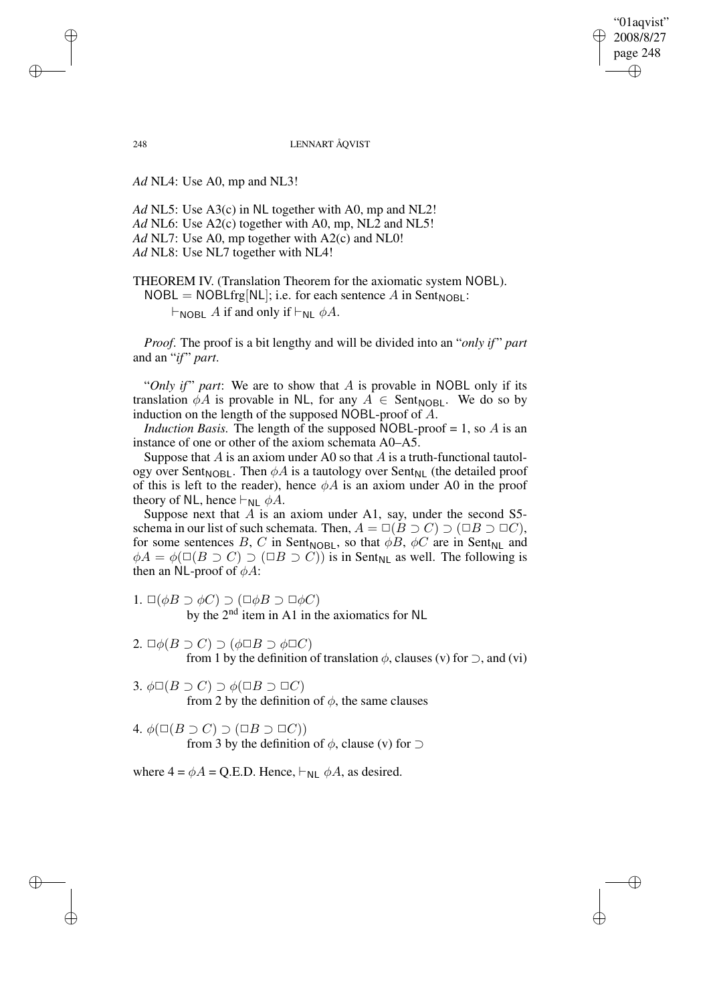"01aqvist" 2008/8/27 page 248 ✐ ✐

✐

✐

248 LENNART ÅQVIST

*Ad* NL4: Use A0, mp and NL3!

*Ad* NL5: Use A3(c) in NL together with A0, mp and NL2! *Ad* NL6: Use A2(c) together with A0, mp, NL2 and NL5! *Ad* NL7: Use A0, mp together with A2(c) and NL0! *Ad* NL8: Use NL7 together with NL4!

THEOREM IV. (Translation Theorem for the axiomatic system NOBL).  $NOBL = NOBLfrg[NL];$  i.e. for each sentence A in Sent<sub>NOBL</sub>:

 $\vdash_{\mathsf{NOBL}} A$  if and only if  $\vdash_{\mathsf{NL}} \phi A$ .

*Proof*. The proof is a bit lengthy and will be divided into an "*only if* " *part* and an "*if*" *part*.

"Only *if*" part: We are to show that A is provable in NOBL only if its translation  $\phi A$  is provable in NL, for any  $A \in$  Sent<sub>NOBL</sub>. We do so by induction on the length of the supposed NOBL-proof of A.

*Induction Basis.* The length of the supposed NOBL-proof  $= 1$ , so A is an instance of one or other of the axiom schemata A0–A5.

Suppose that  $A$  is an axiom under A0 so that  $A$  is a truth-functional tautology over Sent<sub>NOBL</sub>. Then  $\phi A$  is a tautology over Sent<sub>NL</sub> (the detailed proof of this is left to the reader), hence  $\phi A$  is an axiom under A0 in the proof theory of NL, hence  $\vdash_{NL} \phi A$ .

Suppose next that  $A$  is an axiom under A1, say, under the second S5schema in our list of such schemata. Then,  $A = \Box(B \supset C) \supset (\Box B \supset \Box C)$ , for some sentences B, C in Sent<sub>NOBL</sub>, so that  $\phi B$ ,  $\phi C$  are in Sent<sub>NL</sub> and  $\phi A = \phi(\Box(B \supset C) \supset (\Box B \supset C))$  is in Sent<sub>NL</sub> as well. The following is then an NL-proof of  $\phi A$ :

- 1.  $\Box(\phi B \supset \phi C) \supset (\Box \phi B \supset \Box \phi C)$ by the 2<sup>nd</sup> item in A1 in the axiomatics for NL
- 2.  $\Box \phi(B \supset C) \supset (\phi \Box B \supset \phi \Box C)$ from 1 by the definition of translation  $\phi$ , clauses (v) for  $\supset$ , and (vi)
- 3.  $\phi \Box (B \supset C) \supset \phi (\Box B \supset \Box C)$ from 2 by the definition of  $\phi$ , the same clauses
- 4.  $\phi(\Box(B \supset C) \supset (\Box B \supset \Box C))$ from 3 by the definition of  $\phi$ , clause (v) for  $\supset$

where  $4 = \phi A = Q.E.D.$  Hence,  $\vdash_{NL} \phi A$ , as desired.

✐

✐

✐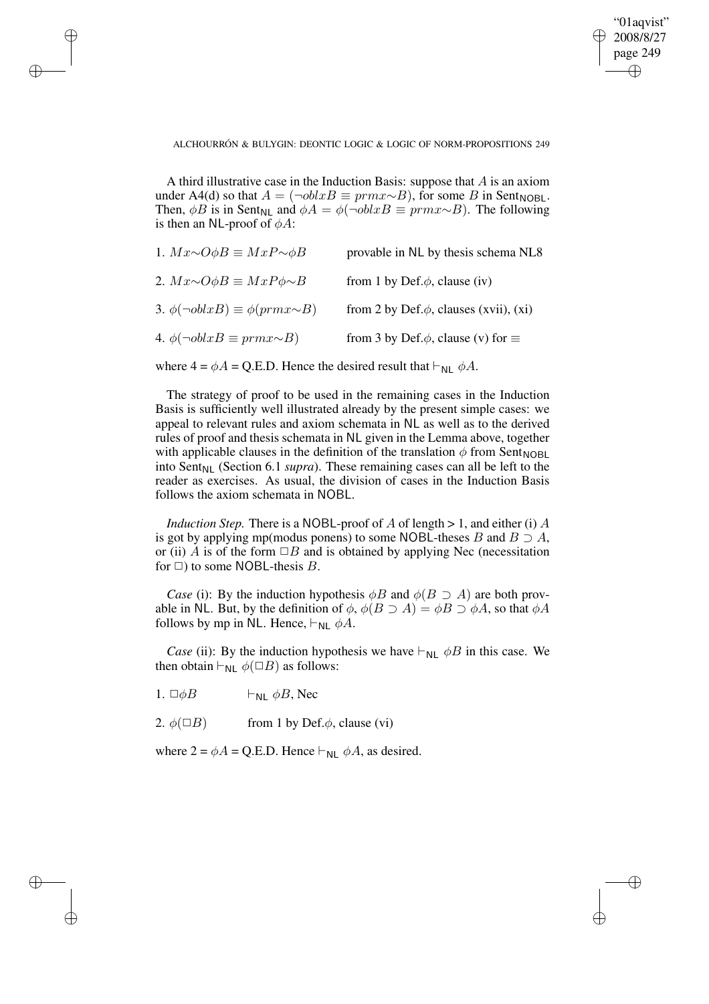✐

ALCHOURRÓN & BULYGIN: DEONTIC LOGIC & LOGIC OF NORM-PROPOSITIONS 249

A third illustrative case in the Induction Basis: suppose that  $A$  is an axiom under A4(d) so that  $A = (\neg oblxB \equiv prmx \sim B)$ , for some B in Sent<sub>NOBL</sub>. Then, φB is in Sent<sub>NL</sub> and  $\phi A = \phi(\neg \text{oblx } B \equiv \text{prm } x \sim B)$ . The following is then an NL-proof of  $\phi A$ :

| 1. $Mx \sim O\phi B \equiv MxP \sim \phi B$    | provable in NL by thesis schema NL8             |
|------------------------------------------------|-------------------------------------------------|
| 2. $Mx \sim O\phi B \equiv MxP\phi \sim B$     | from 1 by Def. $\phi$ , clause (iv)             |
| 3. $\phi(\neg oblxB) \equiv \phi(prmx \sim B)$ | from 2 by Def. $\phi$ , clauses (xvii), (xi)    |
| 4. $\phi(\neg oblxB \equiv prmx \sim B)$       | from 3 by Def. $\phi$ , clause (v) for $\equiv$ |

where  $4 = \phi A = Q.E.D.$  Hence the desired result that  $\vdash_{NL} \phi A$ .

The strategy of proof to be used in the remaining cases in the Induction Basis is sufficiently well illustrated already by the present simple cases: we appeal to relevant rules and axiom schemata in NL as well as to the derived rules of proof and thesis schemata in NL given in the Lemma above, together with applicable clauses in the definition of the translation  $\phi$  from Sent<sub>NOBL</sub> into Sent<sub>NL</sub> (Section 6.1 *supra*). These remaining cases can all be left to the reader as exercises. As usual, the division of cases in the Induction Basis follows the axiom schemata in NOBL.

*Induction Step.* There is a NOBL-proof of A of length  $> 1$ , and either (i) A is got by applying mp(modus ponens) to some NOBL-theses B and  $B \supset A$ , or (ii) A is of the form  $\Box B$  and is obtained by applying Nec (necessitation for  $\Box$ ) to some NOBL-thesis B.

*Case* (i): By the induction hypothesis  $\phi B$  and  $\phi (B \supset A)$  are both provable in NL. But, by the definition of  $\phi$ ,  $\phi(B \supset A) = \phi B \supset \phi A$ , so that  $\phi A$ follows by mp in NL. Hence,  $\vdash_{NL} \phi A$ .

*Case* (ii): By the induction hypothesis we have  $\vdash_{NL} \phi B$  in this case. We then obtain  $\vdash_{NL} \phi(\Box B)$  as follows:

1.  $\Box \phi B$   $\vdash_{\text{NI}} \phi B$ , Nec

✐

✐

✐

✐

2.  $\phi(\Box B)$  from 1 by Def. $\phi$ , clause (vi)

where  $2 = \phi A = Q.E.D.$  Hence  $\vdash_{NL} \phi A$ , as desired.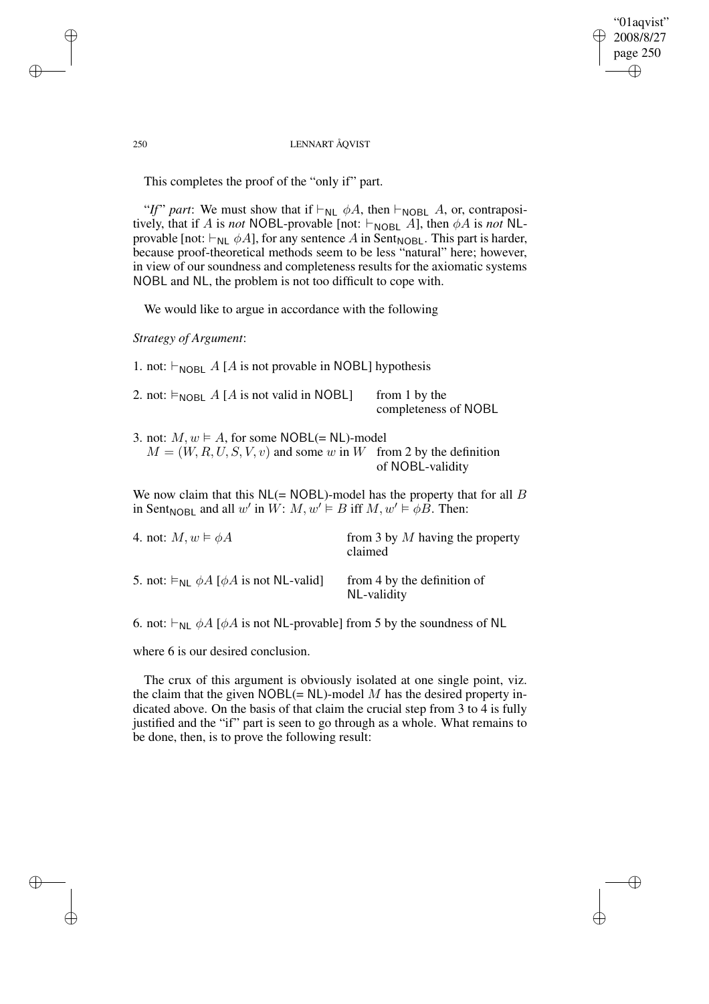"01aqvist" 2008/8/27 page 250 ✐ ✐

✐

✐

### 250 LENNART ÅQVIST

This completes the proof of the "only if" part.

"*If*" part: We must show that if  $\vdash_{NL} \phi A$ , then  $\vdash_{NOBL} A$ , or, contrapositively, that if A is *not* NOBL-provable [not:  $\vdash_{\text{NOBL}} A$ ], then  $\phi A$  is *not* NLprovable [not:  $\vdash_{NL} \phi A$ ], for any sentence A in Sent<sub>NOBL</sub>. This part is harder, because proof-theoretical methods seem to be less "natural" here; however, in view of our soundness and completeness results for the axiomatic systems NOBL and NL, the problem is not too difficult to cope with.

We would like to argue in accordance with the following

*Strategy of Argument*:

1. not:  $\vdash_{\text{NOBL}} A$  [A is not provable in NOBL] hypothesis

| 2. not: $\vDash_{\text{NOBL}} A [A \text{ is not valid in NOBL}]$ | from 1 by the        |
|-------------------------------------------------------------------|----------------------|
|                                                                   | completeness of NOBL |

3. not:  $M, w \models A$ , for some NOBL(= NL)-model  $M = (W, R, U, S, V, v)$  and some w in W from 2 by the definition of NOBL-validity

We now claim that this  $NL (= NOBL)$ -model has the property that for all B in Sent<sub>NOBL</sub> and all w' in  $W: M, w' \models B$  iff  $M, w' \models \phi B$ . Then:

| 4. not: $M, w \models \phi A$                                           | from 3 by $M$ having the property<br>claimed |
|-------------------------------------------------------------------------|----------------------------------------------|
| 5. not: $\models_{\mathsf{NL}} \phi A [\phi A \text{ is not NL-valid}]$ | from 4 by the definition of<br>NL-validity   |

6. not:  $\vdash_{NL} \phi A$  [ $\phi A$  is not NL-provable] from 5 by the soundness of NL

where 6 is our desired conclusion.

The crux of this argument is obviously isolated at one single point, viz. the claim that the given  $NOBL(= NL)$ -model M has the desired property indicated above. On the basis of that claim the crucial step from 3 to 4 is fully justified and the "if" part is seen to go through as a whole. What remains to be done, then, is to prove the following result:

✐

✐

✐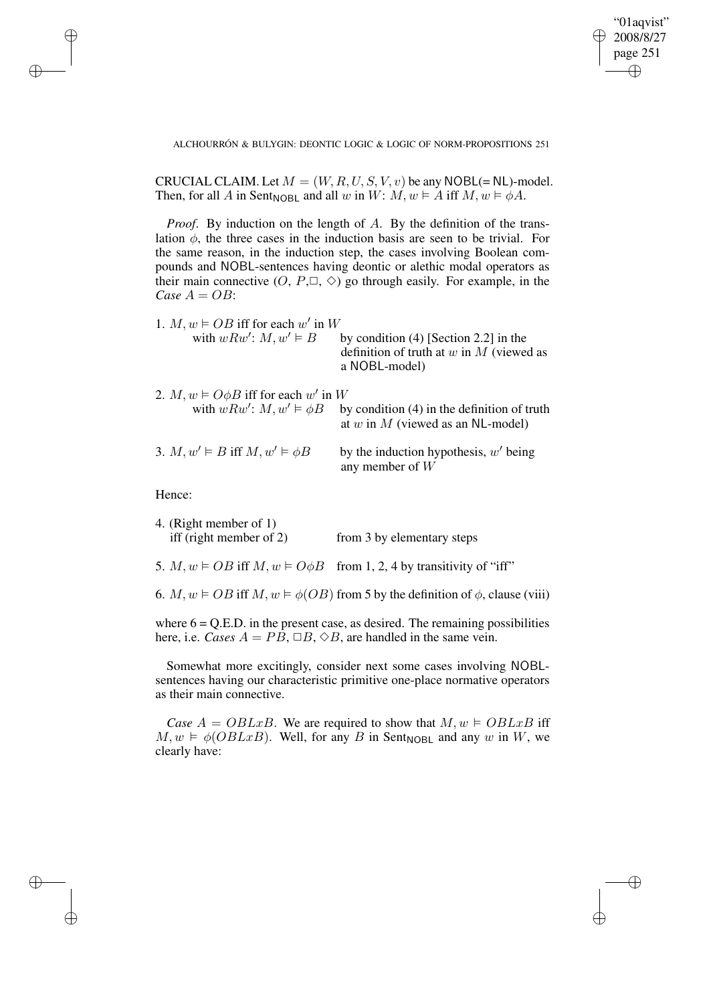"01aqvist" 2008/8/27 page 251 ✐ ✐

✐

✐

ALCHOURRÓN & BULYGIN: DEONTIC LOGIC & LOGIC OF NORM-PROPOSITIONS 251

CRUCIAL CLAIM. Let  $M = (W, R, U, S, V, v)$  be any NOBL(= NL)-model. Then, for all A in Sent<sub>NOBL</sub> and all w in W:  $M, w \models A$  iff  $M, w \models \phi A$ .

*Proof.* By induction on the length of A. By the definition of the translation  $\phi$ , the three cases in the induction basis are seen to be trivial. For the same reason, in the induction step, the cases involving Boolean compounds and NOBL-sentences having deontic or alethic modal operators as their main connective  $(O, P, \Box, \Diamond)$  go through easily. For example, in the *Case*  $A = OB$ :

| 1. $M, w \models OB$ iff for each w' in W<br>with $wRw'$ : $M, w' \vDash B$            | by condition $(4)$ [Section 2.2] in the<br>definition of truth at $w$ in $M$ (viewed as<br>a NOBL-model) |
|----------------------------------------------------------------------------------------|----------------------------------------------------------------------------------------------------------|
| 2. $M, w \models O\phi B$ iff for each w' in W<br>with $wRw'$ : $M, w' \models \phi B$ | by condition $(4)$ in the definition of truth<br>at $w$ in $M$ (viewed as an NL-model)                   |
| 3. $M, w' \models B$ iff $M, w' \models \phi B$                                        | by the induction hypothesis, $w'$ being<br>any member of $W$                                             |

Hence:

✐

✐

✐

✐

| 4. (Right member of 1)<br>iff (right member of 2) | from 3 by elementary steps                                                                          |
|---------------------------------------------------|-----------------------------------------------------------------------------------------------------|
|                                                   | 5. $M, w \models OB$ iff $M, w \models O\phi B$ from 1, 2, 4 by transitivity of "iff"               |
|                                                   | 6. $M, w \models OB$ iff $M, w \models \phi(OB)$ from 5 by the definition of $\phi$ , clause (viii) |

where  $6 = Q.E.D.$  in the present case, as desired. The remaining possibilities here, i.e. *Cases*  $A = PB$ ,  $\Box B$ ,  $\Diamond B$ , are handled in the same vein.

Somewhat more excitingly, consider next some cases involving NOBLsentences having our characteristic primitive one-place normative operators as their main connective.

*Case*  $A = OBLxB$ . We are required to show that  $M, w \models OBLxB$  iff  $M, w \models \phi(OBLxB)$ . Well, for any B in Sent<sub>NOBL</sub> and any w in W, we clearly have: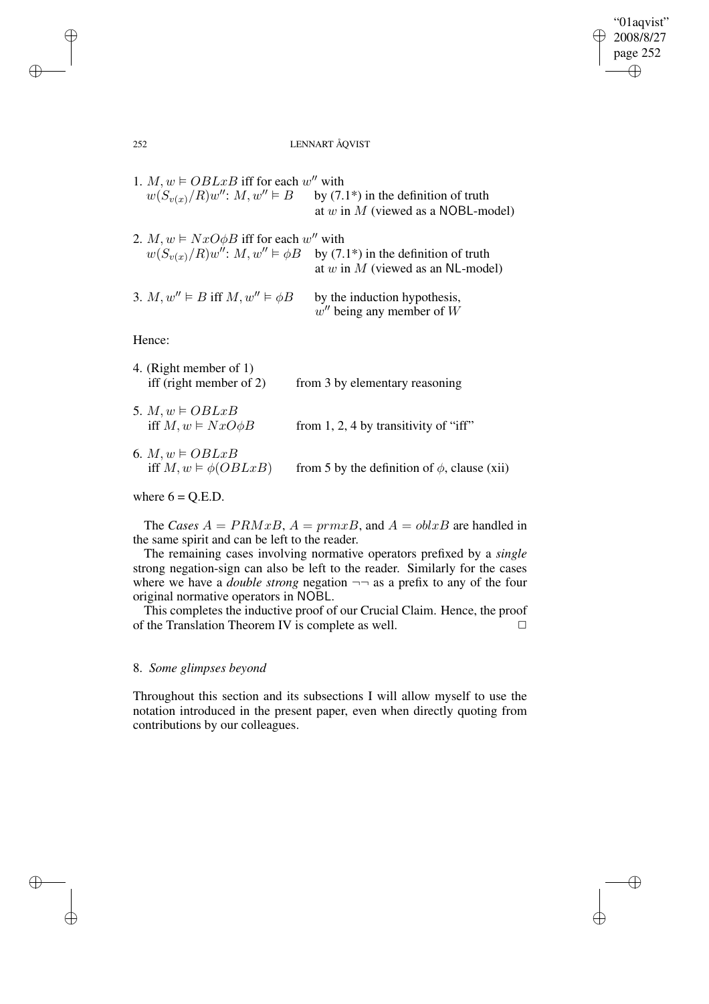$\bigoplus$ 

✐

### 252 LENNART ÅQVIST

| 1. $M, w \models OBLxB$ iff for each w'' with<br>$w(S_{v(x)}/R)w''$ : $M, w'' \models B$ | by $(7.1^*)$ in the definition of truth<br>at w in M (viewed as a NOBL-model)                                          |
|------------------------------------------------------------------------------------------|------------------------------------------------------------------------------------------------------------------------|
| 2. $M, w \models NxO\phi B$ iff for each w'' with                                        | $w(S_{v(x)}/R)w''$ : $M, w'' \models \phi B$ by (7.1*) in the definition of truth<br>at w in M (viewed as an NL-model) |
| 3. M, $w'' \models B$ iff $M, w'' \models \phi B$                                        | by the induction hypothesis,<br>$w''$ being any member of W                                                            |
| Hence:                                                                                   |                                                                                                                        |
| 4. (Right member of 1)<br>iff (right member of $2$ )                                     | from 3 by elementary reasoning                                                                                         |
| 5. $M, w \models OBLxB$<br>iff $M, w \models NxO\phi B$                                  | from 1, 2, 4 by transitivity of "iff"                                                                                  |
| 6. $M, w \models OBLxB$<br>iff $M, w \models \phi(OBLxB)$                                | from 5 by the definition of $\phi$ , clause (xii)                                                                      |

# where  $6 = Q.E.D.$

✐

✐

✐

✐

The *Cases*  $A = PRMxB$ ,  $A = prmxB$ , and  $A = oblxB$  are handled in the same spirit and can be left to the reader.

The remaining cases involving normative operators prefixed by a *single* strong negation-sign can also be left to the reader. Similarly for the cases where we have a *double strong* negation  $\neg$  as a prefix to any of the four original normative operators in NOBL.

This completes the inductive proof of our Crucial Claim. Hence, the proof of the Translation Theorem IV is complete as well.  $\Box$ 

# 8. *Some glimpses beyond*

Throughout this section and its subsections I will allow myself to use the notation introduced in the present paper, even when directly quoting from contributions by our colleagues.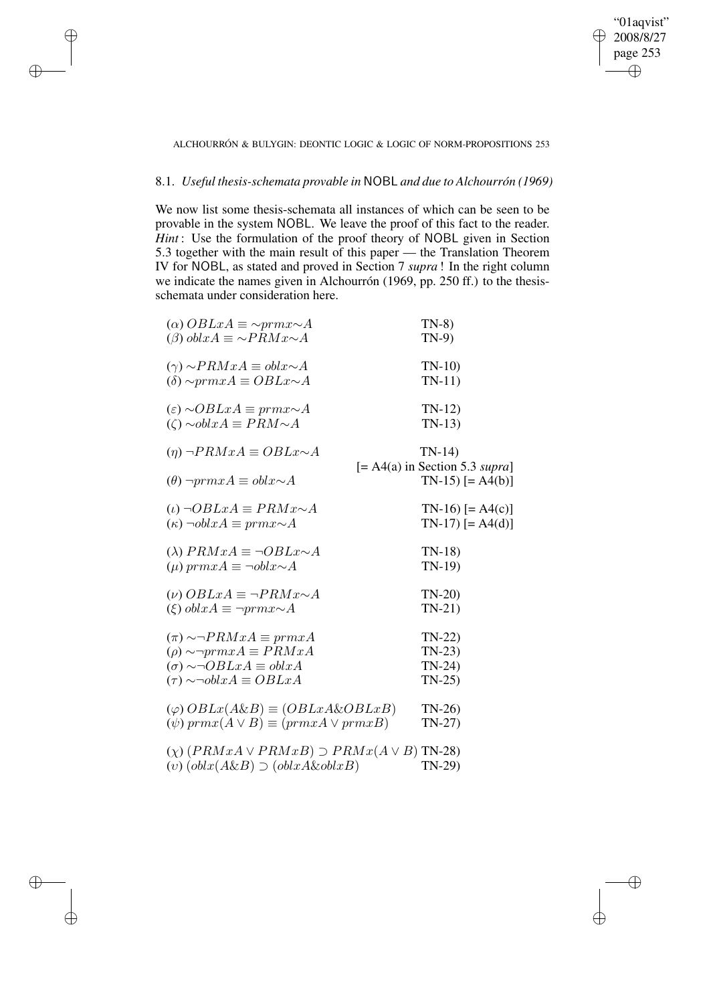✐

### ALCHOURRÓN & BULYGIN: DEONTIC LOGIC & LOGIC OF NORM-PROPOSITIONS 253

# 8.1. *Useful thesis-schemata provable in* NOBL *and due to Alchourrón (1969)*

✐

✐

✐

✐

We now list some thesis-schemata all instances of which can be seen to be provable in the system NOBL. We leave the proof of this fact to the reader. *Hint* : Use the formulation of the proof theory of NOBL given in Section 5.3 together with the main result of this paper — the Translation Theorem IV for NOBL, as stated and proved in Section 7 *supra* ! In the right column we indicate the names given in Alchourrón (1969, pp. 250 ff.) to the thesisschemata under consideration here.

| $(\alpha)$ OBLxA $\equiv \sim prmx \sim A$<br>$(\beta)$ obl $xA \equiv \sim PRMx \sim A$ | $TN-8$<br>$TN-9$                 |
|------------------------------------------------------------------------------------------|----------------------------------|
|                                                                                          |                                  |
| $(\gamma) \sim PRMxA \equiv oblx \sim A$                                                 | $TN-10$                          |
| $(\delta) \sim prmxA \equiv OBLx \sim A$                                                 | $TN-11$                          |
| $(\varepsilon)$ ~OBLxA $\equiv prmx \sim A$                                              | $TN-12$                          |
| $(\zeta) \sim \text{obl} x A \equiv \text{PRM} \sim A$                                   | $TN-13$                          |
| $(\eta) \neg PRMxA \equiv OBLx \sim A$                                                   | $TN-14$                          |
|                                                                                          | $[= A4(a)$ in Section 5.3 supra] |
| $(\theta)$ $\neg prmxA \equiv oblx \sim A$                                               | $TN-15$ [= A4(b)]                |
| $(\iota) \neg OBLxA \equiv PRMx \sim A$                                                  | $TN-16$ [= A4(c)]                |
| $(\kappa)$ $\neg oblxA \equiv prmx \sim A$                                               | $TN-17$ [= A4(d)]                |
| ( $\lambda$ ) $PRMxA \equiv \neg OBLx \sim A$                                            | $TN-18$                          |
| $(\mu) \, prmxA \equiv \neg oblx \sim A$                                                 | $TN-19$                          |
| $(\nu)$ OBL $xA \equiv \neg PRMx \sim A$                                                 | $TN-20$                          |
| $(\xi)$ obl $xA \equiv \neg prmx \sim A$                                                 | $TN-21$                          |
| $(\pi) \sim PRMxA \equiv prmxA$                                                          | $TN-22$                          |
| $(\rho) \sim \neg prmxA \equiv PRMxA$                                                    | $TN-23$                          |
| $(\sigma) \sim \neg OBLxA \equiv oblxA$                                                  | $TN-24$                          |
| $(\tau) \sim \neg \text{obl} x A \equiv \text{OBL} x A$                                  | $TN-25$                          |
| $(\varphi)$ $OBLx(A\&B) \equiv (OBLxA\&OBLxB)$                                           | $TN-26$                          |
| $(\psi) \, prmx(A \vee B) \equiv (prmxA \vee prmxB)$                                     | $TN-27$                          |
|                                                                                          |                                  |
| $(\chi)$ (PRMxA $\vee$ PRMxB) $\supset$ PRMx(A $\vee$ B) TN-28)                          |                                  |
| (v) $\left(\text{obl}x(A\&B\right) \supset \left(\text{obl}xA\&\text{obl}xB\right)$      | TN-29)                           |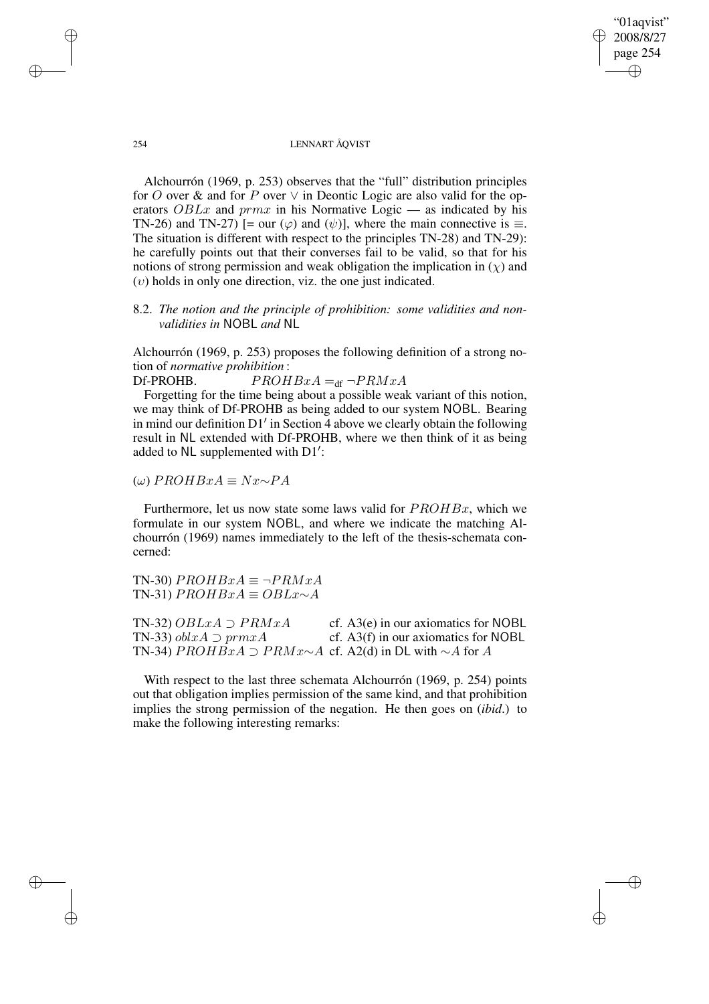✐

### 254 LENNART ÅQVIST

Alchourrón (1969, p. 253) observes that the "full" distribution principles for O over & and for P over  $\vee$  in Deontic Logic are also valid for the operators  $OBLx$  and  $prmx$  in his Normative Logic — as indicated by his TN-26) and TN-27) [= our  $(\varphi)$  and  $(\psi)$ ], where the main connective is  $\equiv$ . The situation is different with respect to the principles TN-28) and TN-29): he carefully points out that their converses fail to be valid, so that for his notions of strong permission and weak obligation the implication in  $(\chi)$  and  $(v)$  holds in only one direction, viz. the one just indicated.

# 8.2. *The notion and the principle of prohibition: some validities and nonvalidities in* NOBL *and* NL

Alchourrón (1969, p. 253) proposes the following definition of a strong notion of *normative prohibition* :

Df-PROHB.  $PROHBxA =_{df} \neg PRMXA$ 

Forgetting for the time being about a possible weak variant of this notion, we may think of Df-PROHB as being added to our system NOBL. Bearing in mind our definition  $D1'$  in Section 4 above we clearly obtain the following result in NL extended with Df-PROHB, where we then think of it as being added to NL supplemented with D1':

(ω) PROHBxA ≡ Nx∼PA

Furthermore, let us now state some laws valid for  $PROHBx$ , which we formulate in our system NOBL, and where we indicate the matching Alchourrón (1969) names immediately to the left of the thesis-schemata concerned:

TN-30)  $PROHBxA \equiv \neg PRMxA$ TN-31)  $PROHBxA \equiv OBLx \sim A$ 

TN-32)  $OBLxA \supset PRMxA$  cf. A3(e) in our axiomatics for NOBL TN-33)  $oblxA \supset prmxA$  cf. A3(f) in our axiomatics for NOBL TN-34)  $PROHBxA \supset PRMx \sim A$  cf. A2(d) in DL with  $\sim A$  for A

With respect to the last three schemata Alchourrón (1969, p. 254) points out that obligation implies permission of the same kind, and that prohibition implies the strong permission of the negation. He then goes on (*ibid*.) to make the following interesting remarks:

✐

✐

✐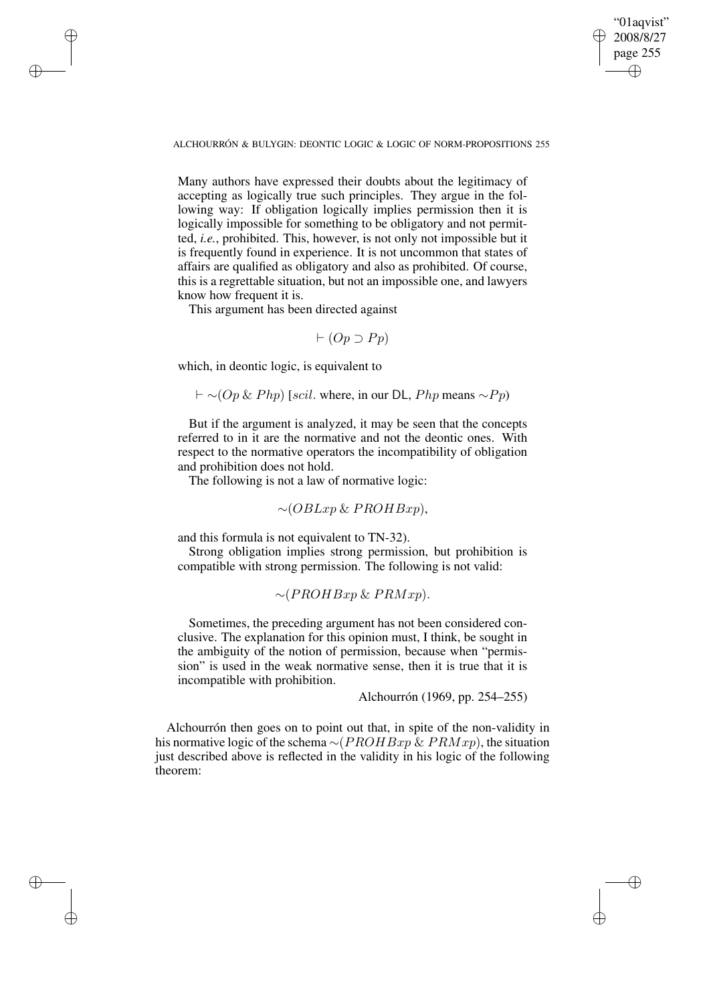"01aqvist" 2008/8/27 page 255 ✐ ✐

✐

✐

ALCHOURRÓN & BULYGIN: DEONTIC LOGIC & LOGIC OF NORM-PROPOSITIONS 255

Many authors have expressed their doubts about the legitimacy of accepting as logically true such principles. They argue in the following way: If obligation logically implies permission then it is logically impossible for something to be obligatory and not permitted, *i.e.*, prohibited. This, however, is not only not impossible but it is frequently found in experience. It is not uncommon that states of affairs are qualified as obligatory and also as prohibited. Of course, this is a regrettable situation, but not an impossible one, and lawyers know how frequent it is.

This argument has been directed against

✐

✐

✐

✐

$$
\vdash (Op \supset Pp)
$$

which, in deontic logic, is equivalent to

 $\vdash \sim (Op \& Php)$  [scil. where, in our DL, Php means  $\sim Pp$ )

But if the argument is analyzed, it may be seen that the concepts referred to in it are the normative and not the deontic ones. With respect to the normative operators the incompatibility of obligation and prohibition does not hold.

The following is not a law of normative logic:

$$
\sim (OBLxp \& PROHBxp),
$$

and this formula is not equivalent to TN-32).

Strong obligation implies strong permission, but prohibition is compatible with strong permission. The following is not valid:

 $\sim$ (PROHBxp & PRMxp).

Sometimes, the preceding argument has not been considered conclusive. The explanation for this opinion must, I think, be sought in the ambiguity of the notion of permission, because when "permission" is used in the weak normative sense, then it is true that it is incompatible with prohibition.

Alchourrón (1969, pp. 254–255)

Alchourrón then goes on to point out that, in spite of the non-validity in his normative logic of the schema ~( $PROHBxp \& PRMxp$ ), the situation just described above is reflected in the validity in his logic of the following theorem: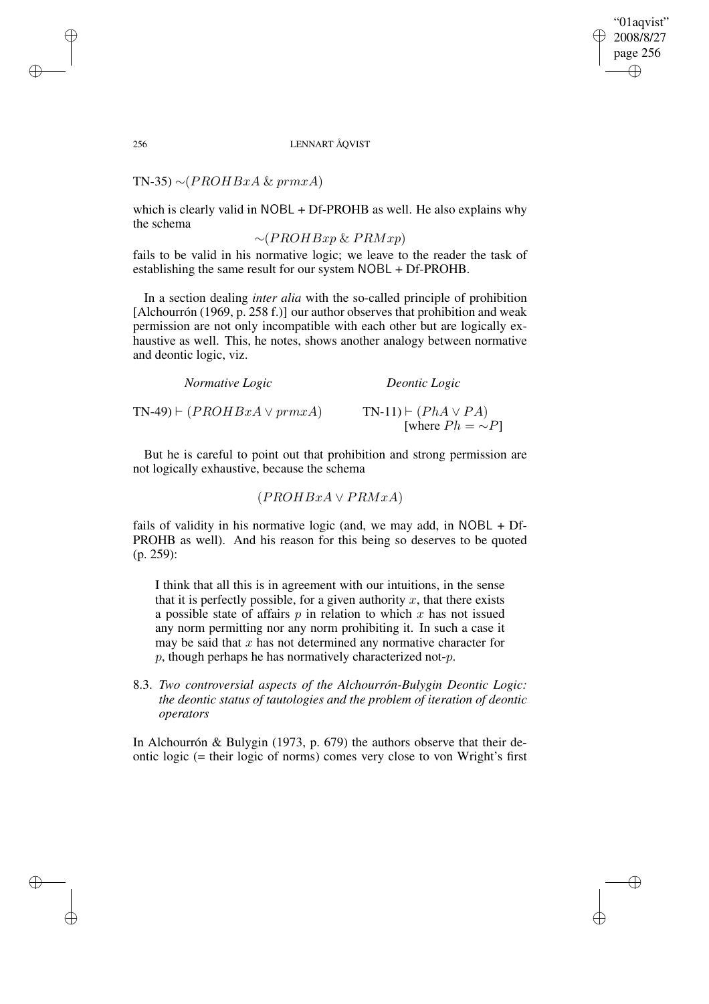"01aqvist" 2008/8/27 page 256 ✐ ✐

✐

### 256 LENNART ÅQVIST

TN-35)  $\sim$ (*PROHBxA & prmxA*)

which is clearly valid in NOBL + Df-PROHB as well. He also explains why the schema

 $∼(PROHBxp & PRMxp)$ 

fails to be valid in his normative logic; we leave to the reader the task of establishing the same result for our system NOBL + Df-PROHB.

In a section dealing *inter alia* with the so-called principle of prohibition [Alchourrón (1969, p. 258 f.)] our author observes that prohibition and weak permission are not only incompatible with each other but are logically exhaustive as well. This, he notes, shows another analogy between normative and deontic logic, viz.

| Normative Logic                         | Deontic Logic                                              |
|-----------------------------------------|------------------------------------------------------------|
| $TN-49$ $\vdash$ $(PROHBxA \vee prmxA)$ | $TN-11$ $\vdash$ $(PhA \lor PA)$<br>[where $Ph = \sim P$ ] |

But he is careful to point out that prohibition and strong permission are not logically exhaustive, because the schema

$$
(PROHBxA \vee PRMxA)
$$

fails of validity in his normative logic (and, we may add, in NOBL + Df-PROHB as well). And his reason for this being so deserves to be quoted (p. 259):

I think that all this is in agreement with our intuitions, in the sense that it is perfectly possible, for a given authority  $x$ , that there exists a possible state of affairs  $p$  in relation to which  $x$  has not issued any norm permitting nor any norm prohibiting it. In such a case it may be said that  $x$  has not determined any normative character for  $p$ , though perhaps he has normatively characterized not- $p$ .

8.3. *Two controversial aspects of the Alchourrón-Bulygin Deontic Logic: the deontic status of tautologies and the problem of iteration of deontic operators*

In Alchourrón & Bulygin (1973, p. 679) the authors observe that their deontic logic (= their logic of norms) comes very close to von Wright's first

✐

✐

✐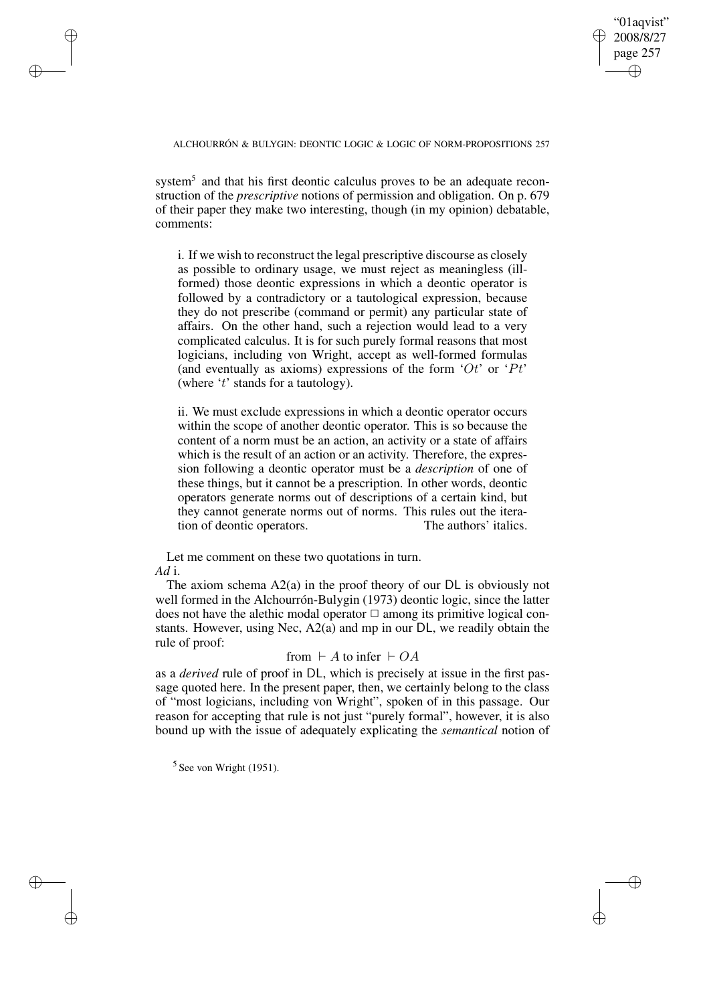✐

ALCHOURRÓN & BULYGIN: DEONTIC LOGIC & LOGIC OF NORM-PROPOSITIONS 257

system<sup>5</sup> and that his first deontic calculus proves to be an adequate reconstruction of the *prescriptive* notions of permission and obligation. On p. 679 of their paper they make two interesting, though (in my opinion) debatable, comments:

i. If we wish to reconstruct the legal prescriptive discourse as closely as possible to ordinary usage, we must reject as meaningless (illformed) those deontic expressions in which a deontic operator is followed by a contradictory or a tautological expression, because they do not prescribe (command or permit) any particular state of affairs. On the other hand, such a rejection would lead to a very complicated calculus. It is for such purely formal reasons that most logicians, including von Wright, accept as well-formed formulas (and eventually as axioms) expressions of the form  $'Or'$  or  $'Pt'$ (where 't' stands for a tautology).

ii. We must exclude expressions in which a deontic operator occurs within the scope of another deontic operator. This is so because the content of a norm must be an action, an activity or a state of affairs which is the result of an action or an activity. Therefore, the expression following a deontic operator must be a *description* of one of these things, but it cannot be a prescription. In other words, deontic operators generate norms out of descriptions of a certain kind, but they cannot generate norms out of norms. This rules out the iteration of deontic operators. The authors' italics.

Let me comment on these two quotations in turn. *Ad* i.

The axiom schema A2(a) in the proof theory of our DL is obviously not well formed in the Alchourrón-Bulygin (1973) deontic logic, since the latter does not have the alethic modal operator  $\Box$  among its primitive logical constants. However, using Nec, A2(a) and mp in our DL, we readily obtain the rule of proof:

# from  $\vdash A$  to infer  $\vdash OA$

as a *derived* rule of proof in DL, which is precisely at issue in the first passage quoted here. In the present paper, then, we certainly belong to the class of "most logicians, including von Wright", spoken of in this passage. Our reason for accepting that rule is not just "purely formal", however, it is also bound up with the issue of adequately explicating the *semantical* notion of

 $<sup>5</sup>$  See von Wright (1951).</sup>

✐

✐

✐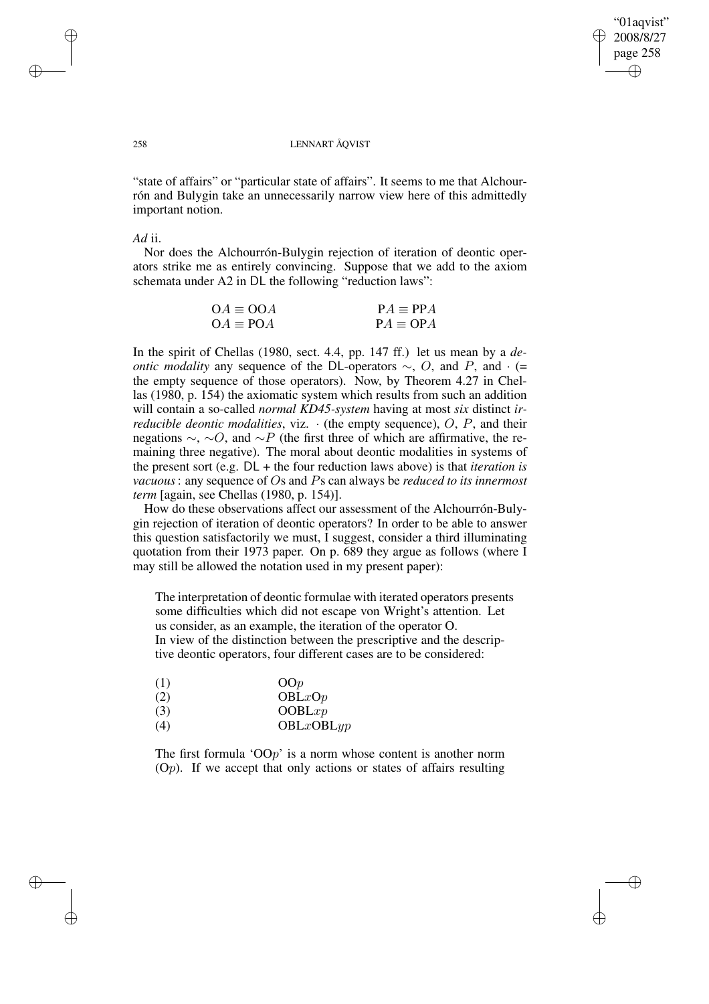✐

### 258 LENNART ÅQVIST

"state of affairs" or "particular state of affairs". It seems to me that Alchourrón and Bulygin take an unnecessarily narrow view here of this admittedly important notion.

### *Ad* ii.

Nor does the Alchourrón-Bulygin rejection of iteration of deontic operators strike me as entirely convincing. Suppose that we add to the axiom schemata under A2 in DL the following "reduction laws":

| $OA \equiv OOA$ | $PA \equiv PPA$ |
|-----------------|-----------------|
| $OA \equiv POA$ | $PA \equiv OPA$ |

In the spirit of Chellas (1980, sect. 4.4, pp. 147 ff.) let us mean by a *deontic modality* any sequence of the DL-operators  $\sim$ , O, and P, and · (= the empty sequence of those operators). Now, by Theorem 4.27 in Chellas (1980, p. 154) the axiomatic system which results from such an addition will contain a so-called *normal KD45-system* having at most *six* distinct *irreducible deontic modalities*, viz.  $\cdot$  (the empty sequence), O, P, and their negations  $\sim$ , ∼O, and ∼P (the first three of which are affirmative, the remaining three negative). The moral about deontic modalities in systems of the present sort (e.g. DL + the four reduction laws above) is that *iteration is vacuous*: any sequence of Os and Ps can always be *reduced to its innermost term* [again, see Chellas (1980, p. 154)].

How do these observations affect our assessment of the Alchourrón-Bulygin rejection of iteration of deontic operators? In order to be able to answer this question satisfactorily we must, I suggest, consider a third illuminating quotation from their 1973 paper. On p. 689 they argue as follows (where I may still be allowed the notation used in my present paper):

The interpretation of deontic formulae with iterated operators presents some difficulties which did not escape von Wright's attention. Let us consider, as an example, the iteration of the operator O. In view of the distinction between the prescriptive and the descriptive deontic operators, four different cases are to be considered:

| (1) | OOp       |
|-----|-----------|
| (2) | OBLxOp    |
| (3) | OOBLxp    |
| (4) | OBLxOBLyp |

The first formula ' $OOp'$  is a norm whose content is another norm

 $(O<sub>p</sub>)$ . If we accept that only actions or states of affairs resulting

✐

✐

✐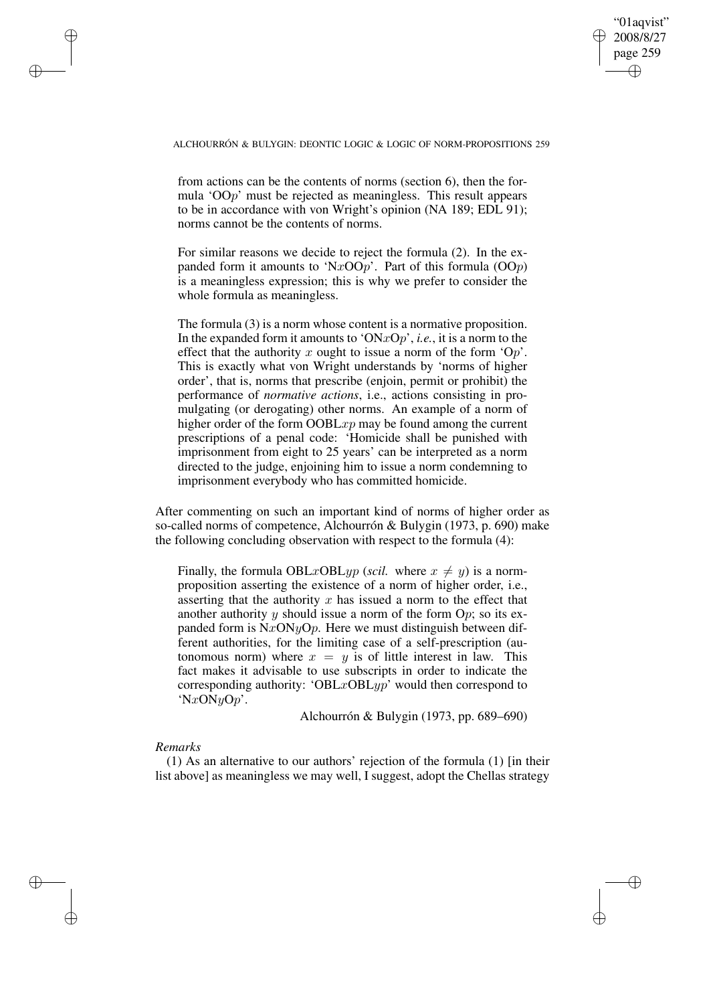✐

from actions can be the contents of norms (section 6), then the formula 'OOp' must be rejected as meaningless. This result appears to be in accordance with von Wright's opinion (NA 189; EDL 91); norms cannot be the contents of norms.

For similar reasons we decide to reject the formula (2). In the expanded form it amounts to 'NxOOp'. Part of this formula  $(OOp)$ is a meaningless expression; this is why we prefer to consider the whole formula as meaningless.

The formula (3) is a norm whose content is a normative proposition. In the expanded form it amounts to 'ONxOp', *i.e.*, it is a norm to the effect that the authority x ought to issue a norm of the form ' $Op'$ . This is exactly what von Wright understands by 'norms of higher order', that is, norms that prescribe (enjoin, permit or prohibit) the performance of *normative actions*, i.e., actions consisting in promulgating (or derogating) other norms. An example of a norm of higher order of the form  $OOBLxp$  may be found among the current prescriptions of a penal code: 'Homicide shall be punished with imprisonment from eight to 25 years' can be interpreted as a norm directed to the judge, enjoining him to issue a norm condemning to imprisonment everybody who has committed homicide.

After commenting on such an important kind of norms of higher order as so-called norms of competence, Alchourrón & Bulygin (1973, p. 690) make the following concluding observation with respect to the formula (4):

Finally, the formula OBLxOBLyp (*scil.* where  $x \neq y$ ) is a normproposition asserting the existence of a norm of higher order, i.e., asserting that the authority  $x$  has issued a norm to the effect that another authority y should issue a norm of the form  $Op$ ; so its expanded form is  $NxONyOp$ . Here we must distinguish between different authorities, for the limiting case of a self-prescription (autonomous norm) where  $x = y$  is of little interest in law. This fact makes it advisable to use subscripts in order to indicate the corresponding authority: 'OBL $x$ OBL $yp$ ' would then correspond to ' $NxONyOp'$ .

Alchourrón & Bulygin (1973, pp. 689–690)

### *Remarks*

✐

✐

✐

✐

(1) As an alternative to our authors' rejection of the formula (1) [in their list above] as meaningless we may well, I suggest, adopt the Chellas strategy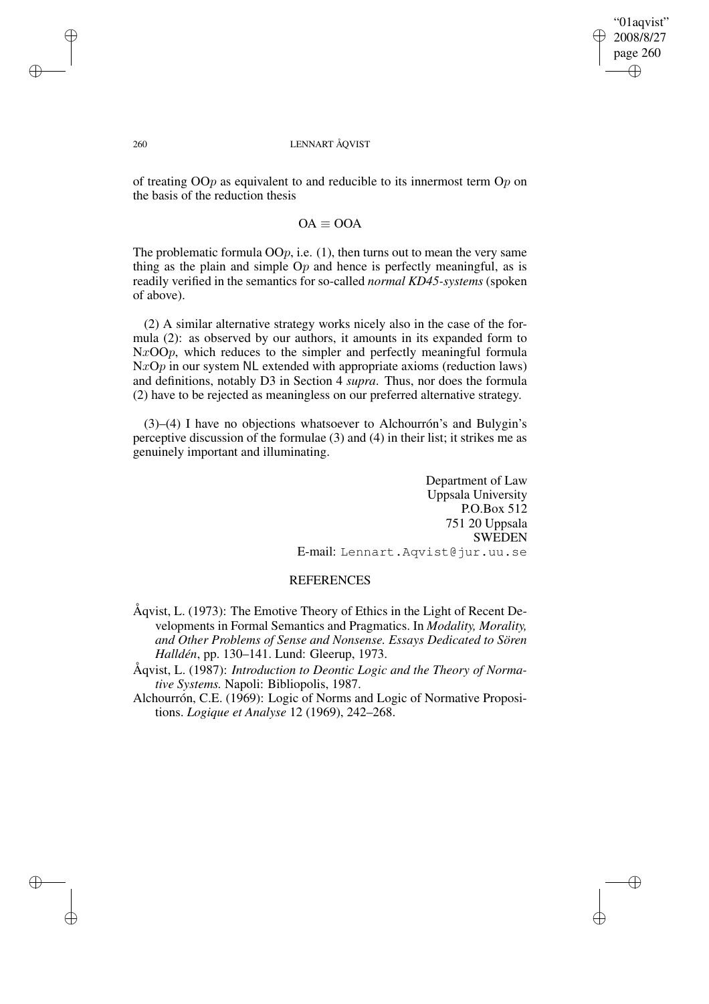"01aqvist" 2008/8/27 page 260 ✐ ✐

✐

✐

### 260 LENNART ÅQVIST

of treating  $OOp$  as equivalent to and reducible to its innermost term  $Op$  on the basis of the reduction thesis

# $OA \equiv OOA$

The problematic formula  $OOp$ , i.e. (1), then turns out to mean the very same thing as the plain and simple  $Op$  and hence is perfectly meaningful, as is readily verified in the semantics for so-called *normal KD45-systems* (spoken of above).

(2) A similar alternative strategy works nicely also in the case of the formula (2): as observed by our authors, it amounts in its expanded form to  $NxOOp$ , which reduces to the simpler and perfectly meaningful formula  $NxOp$  in our system NL extended with appropriate axioms (reduction laws) and definitions, notably D3 in Section 4 *supra*. Thus, nor does the formula (2) have to be rejected as meaningless on our preferred alternative strategy.

(3)–(4) I have no objections whatsoever to Alchourrón's and Bulygin's perceptive discussion of the formulae (3) and (4) in their list; it strikes me as genuinely important and illuminating.

> Department of Law Uppsala University P.O.Box 512 751 20 Uppsala SWEDEN E-mail: Lennart.Aqvist@jur.uu.se

# **REFERENCES**

- Åqvist, L. (1973): The Emotive Theory of Ethics in the Light of Recent Developments in Formal Semantics and Pragmatics. In *Modality, Morality, and Other Problems of Sense and Nonsense. Essays Dedicated to Sören Halldén*, pp. 130–141. Lund: Gleerup, 1973.
- Åqvist, L. (1987): *Introduction to Deontic Logic and the Theory of Normative Systems.* Napoli: Bibliopolis, 1987.
- Alchourrón, C.E. (1969): Logic of Norms and Logic of Normative Propositions. *Logique et Analyse* 12 (1969), 242–268.

✐

✐

✐